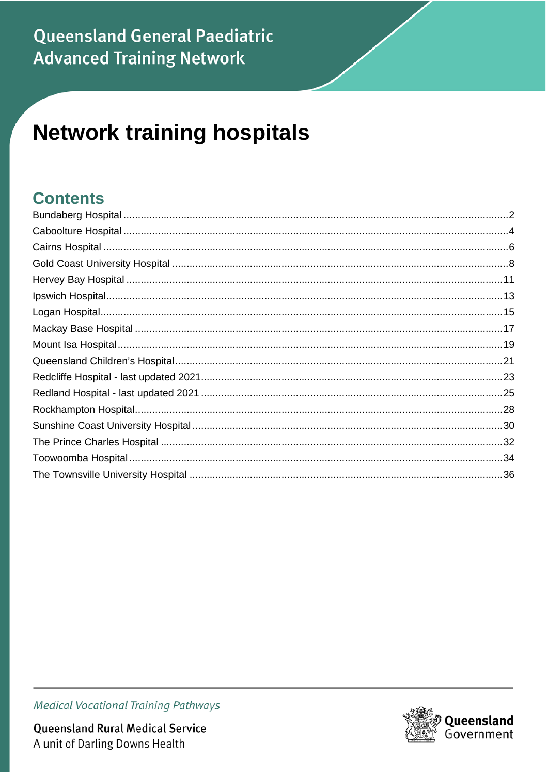#### **Queensland General Paediatric Advanced Training Network**

# **Network training hospitals**

#### **Contents**

Queensland Rural Medical Service A unit of Darling Downs Health

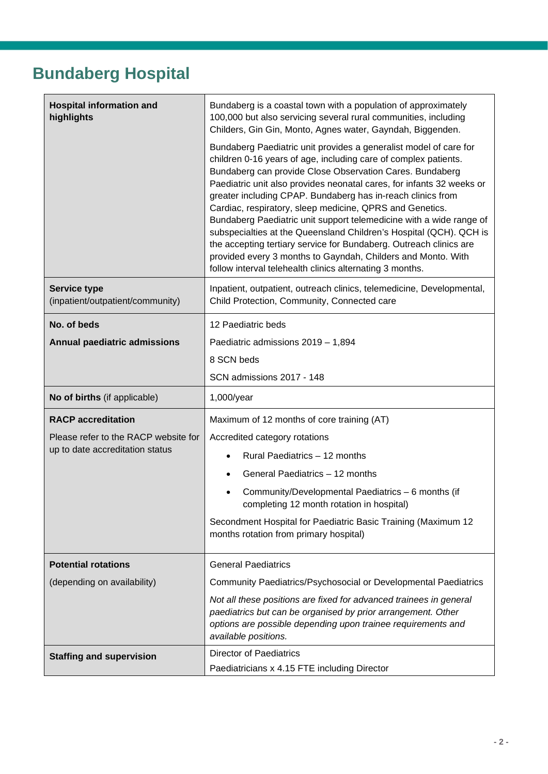## <span id="page-1-0"></span>**Bundaberg Hospital**

| <b>Hospital information and</b><br>highlights           | Bundaberg is a coastal town with a population of approximately<br>100,000 but also servicing several rural communities, including<br>Childers, Gin Gin, Monto, Agnes water, Gayndah, Biggenden.                                                                                                                                                                                                                                                                                                                                                                                                                                                                                                                                                     |
|---------------------------------------------------------|-----------------------------------------------------------------------------------------------------------------------------------------------------------------------------------------------------------------------------------------------------------------------------------------------------------------------------------------------------------------------------------------------------------------------------------------------------------------------------------------------------------------------------------------------------------------------------------------------------------------------------------------------------------------------------------------------------------------------------------------------------|
|                                                         | Bundaberg Paediatric unit provides a generalist model of care for<br>children 0-16 years of age, including care of complex patients.<br>Bundaberg can provide Close Observation Cares. Bundaberg<br>Paediatric unit also provides neonatal cares, for infants 32 weeks or<br>greater including CPAP. Bundaberg has in-reach clinics from<br>Cardiac, respiratory, sleep medicine, QPRS and Genetics.<br>Bundaberg Paediatric unit support telemedicine with a wide range of<br>subspecialties at the Queensland Children's Hospital (QCH). QCH is<br>the accepting tertiary service for Bundaberg. Outreach clinics are<br>provided every 3 months to Gayndah, Childers and Monto. With<br>follow interval telehealth clinics alternating 3 months. |
| <b>Service type</b><br>(inpatient/outpatient/community) | Inpatient, outpatient, outreach clinics, telemedicine, Developmental,<br>Child Protection, Community, Connected care                                                                                                                                                                                                                                                                                                                                                                                                                                                                                                                                                                                                                                |
| No. of beds                                             | 12 Paediatric beds                                                                                                                                                                                                                                                                                                                                                                                                                                                                                                                                                                                                                                                                                                                                  |
| <b>Annual paediatric admissions</b>                     | Paediatric admissions 2019 - 1,894                                                                                                                                                                                                                                                                                                                                                                                                                                                                                                                                                                                                                                                                                                                  |
|                                                         | 8 SCN beds                                                                                                                                                                                                                                                                                                                                                                                                                                                                                                                                                                                                                                                                                                                                          |
|                                                         | SCN admissions 2017 - 148                                                                                                                                                                                                                                                                                                                                                                                                                                                                                                                                                                                                                                                                                                                           |
| No of births (if applicable)                            | 1,000/year                                                                                                                                                                                                                                                                                                                                                                                                                                                                                                                                                                                                                                                                                                                                          |
| <b>RACP</b> accreditation                               | Maximum of 12 months of core training (AT)                                                                                                                                                                                                                                                                                                                                                                                                                                                                                                                                                                                                                                                                                                          |
| Please refer to the RACP website for                    | Accredited category rotations                                                                                                                                                                                                                                                                                                                                                                                                                                                                                                                                                                                                                                                                                                                       |
| up to date accreditation status                         | Rural Paediatrics - 12 months                                                                                                                                                                                                                                                                                                                                                                                                                                                                                                                                                                                                                                                                                                                       |
|                                                         | General Paediatrics - 12 months                                                                                                                                                                                                                                                                                                                                                                                                                                                                                                                                                                                                                                                                                                                     |
|                                                         | Community/Developmental Paediatrics - 6 months (if<br>completing 12 month rotation in hospital)                                                                                                                                                                                                                                                                                                                                                                                                                                                                                                                                                                                                                                                     |
|                                                         | Secondment Hospital for Paediatric Basic Training (Maximum 12<br>months rotation from primary hospital)                                                                                                                                                                                                                                                                                                                                                                                                                                                                                                                                                                                                                                             |
| <b>Potential rotations</b>                              | <b>General Paediatrics</b>                                                                                                                                                                                                                                                                                                                                                                                                                                                                                                                                                                                                                                                                                                                          |
| (depending on availability)                             | Community Paediatrics/Psychosocial or Developmental Paediatrics                                                                                                                                                                                                                                                                                                                                                                                                                                                                                                                                                                                                                                                                                     |
|                                                         | Not all these positions are fixed for advanced trainees in general<br>paediatrics but can be organised by prior arrangement. Other<br>options are possible depending upon trainee requirements and<br>available positions.                                                                                                                                                                                                                                                                                                                                                                                                                                                                                                                          |
| <b>Staffing and supervision</b>                         | <b>Director of Paediatrics</b><br>Paediatricians x 4.15 FTE including Director                                                                                                                                                                                                                                                                                                                                                                                                                                                                                                                                                                                                                                                                      |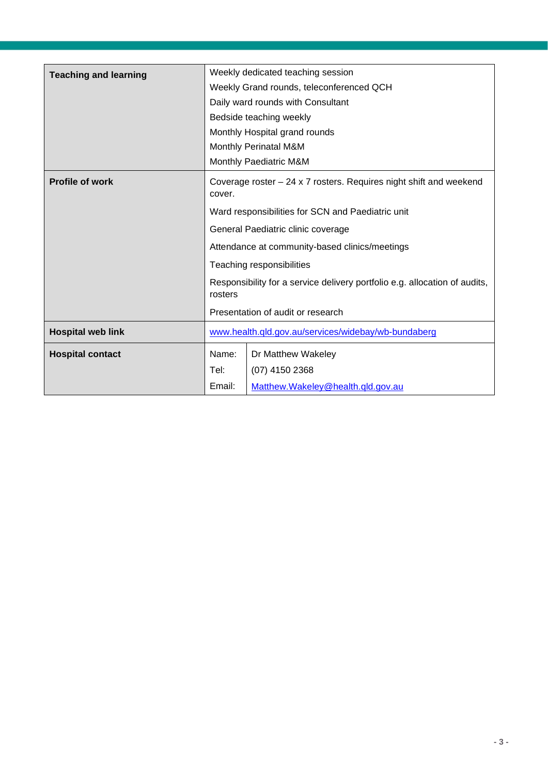| <b>Teaching and learning</b> |                                                                                       | Weekly dedicated teaching session                 |  |
|------------------------------|---------------------------------------------------------------------------------------|---------------------------------------------------|--|
|                              |                                                                                       | Weekly Grand rounds, teleconferenced QCH          |  |
|                              | Daily ward rounds with Consultant                                                     |                                                   |  |
|                              | Bedside teaching weekly                                                               |                                                   |  |
|                              | Monthly Hospital grand rounds                                                         |                                                   |  |
|                              | Monthly Perinatal M&M                                                                 |                                                   |  |
|                              | Monthly Paediatric M&M                                                                |                                                   |  |
| <b>Profile of work</b>       | Coverage roster $-24 \times 7$ rosters. Requires night shift and weekend<br>cover.    |                                                   |  |
|                              |                                                                                       | Ward responsibilities for SCN and Paediatric unit |  |
|                              | General Paediatric clinic coverage                                                    |                                                   |  |
|                              | Attendance at community-based clinics/meetings<br>Teaching responsibilities           |                                                   |  |
|                              |                                                                                       |                                                   |  |
|                              | Responsibility for a service delivery portfolio e.g. allocation of audits,<br>rosters |                                                   |  |
|                              |                                                                                       | Presentation of audit or research                 |  |
| <b>Hospital web link</b>     | www.health.qld.gov.au/services/widebay/wb-bundaberg                                   |                                                   |  |
| <b>Hospital contact</b>      | Name:                                                                                 | Dr Matthew Wakeley                                |  |
|                              | Tel:                                                                                  | (07) 4150 2368                                    |  |
|                              | Email:                                                                                | Matthew.Wakeley@health.gld.gov.au                 |  |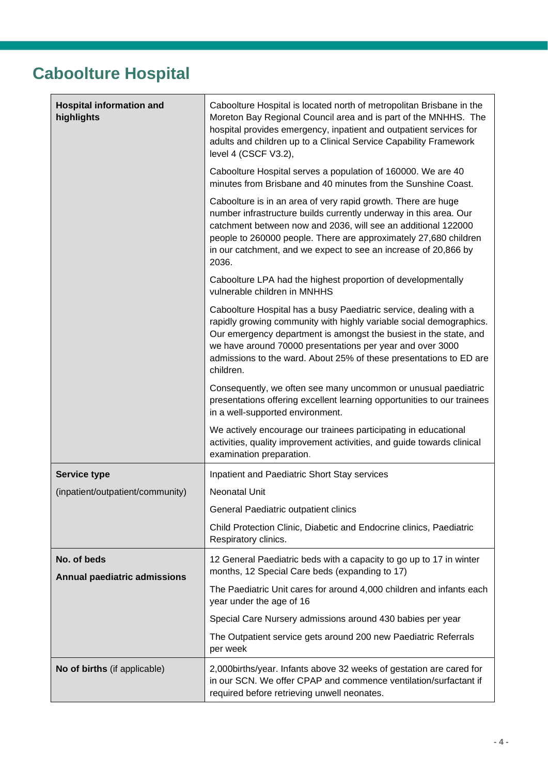#### <span id="page-3-0"></span>**Caboolture Hospital**

| <b>Hospital information and</b><br>highlights | Caboolture Hospital is located north of metropolitan Brisbane in the<br>Moreton Bay Regional Council area and is part of the MNHHS. The<br>hospital provides emergency, inpatient and outpatient services for<br>adults and children up to a Clinical Service Capability Framework<br>level 4 (CSCF V3.2),                                                    |
|-----------------------------------------------|---------------------------------------------------------------------------------------------------------------------------------------------------------------------------------------------------------------------------------------------------------------------------------------------------------------------------------------------------------------|
|                                               | Caboolture Hospital serves a population of 160000. We are 40<br>minutes from Brisbane and 40 minutes from the Sunshine Coast.                                                                                                                                                                                                                                 |
|                                               | Caboolture is in an area of very rapid growth. There are huge<br>number infrastructure builds currently underway in this area. Our<br>catchment between now and 2036, will see an additional 122000<br>people to 260000 people. There are approximately 27,680 children<br>in our catchment, and we expect to see an increase of 20,866 by<br>2036.           |
|                                               | Caboolture LPA had the highest proportion of developmentally<br>vulnerable children in MNHHS                                                                                                                                                                                                                                                                  |
|                                               | Caboolture Hospital has a busy Paediatric service, dealing with a<br>rapidly growing community with highly variable social demographics.<br>Our emergency department is amongst the busiest in the state, and<br>we have around 70000 presentations per year and over 3000<br>admissions to the ward. About 25% of these presentations to ED are<br>children. |
|                                               | Consequently, we often see many uncommon or unusual paediatric<br>presentations offering excellent learning opportunities to our trainees<br>in a well-supported environment.                                                                                                                                                                                 |
|                                               | We actively encourage our trainees participating in educational<br>activities, quality improvement activities, and guide towards clinical<br>examination preparation.                                                                                                                                                                                         |
| <b>Service type</b>                           | Inpatient and Paediatric Short Stay services                                                                                                                                                                                                                                                                                                                  |
| (inpatient/outpatient/community)              | Neonatal Unit                                                                                                                                                                                                                                                                                                                                                 |
|                                               | General Paediatric outpatient clinics                                                                                                                                                                                                                                                                                                                         |
|                                               | Child Protection Clinic, Diabetic and Endocrine clinics, Paediatric<br>Respiratory clinics.                                                                                                                                                                                                                                                                   |
| No. of beds<br>Annual paediatric admissions   | 12 General Paediatric beds with a capacity to go up to 17 in winter<br>months, 12 Special Care beds (expanding to 17)                                                                                                                                                                                                                                         |
|                                               | The Paediatric Unit cares for around 4,000 children and infants each<br>year under the age of 16                                                                                                                                                                                                                                                              |
|                                               | Special Care Nursery admissions around 430 babies per year                                                                                                                                                                                                                                                                                                    |
|                                               | The Outpatient service gets around 200 new Paediatric Referrals<br>per week                                                                                                                                                                                                                                                                                   |
| No of births (if applicable)                  | 2,000 births/year. Infants above 32 weeks of gestation are cared for<br>in our SCN. We offer CPAP and commence ventilation/surfactant if<br>required before retrieving unwell neonates.                                                                                                                                                                       |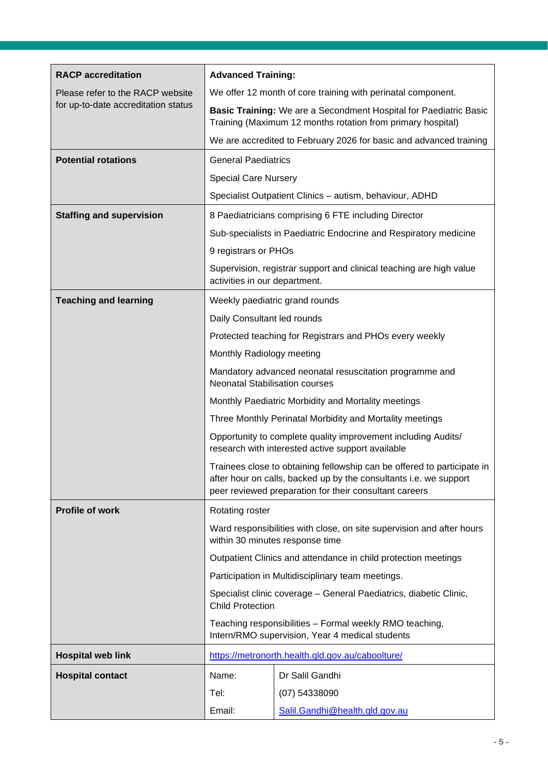| <b>RACP</b> accreditation           | <b>Advanced Training:</b>                                                                                                                                                                              |                                                                                                                                  |
|-------------------------------------|--------------------------------------------------------------------------------------------------------------------------------------------------------------------------------------------------------|----------------------------------------------------------------------------------------------------------------------------------|
| Please refer to the RACP website    | We offer 12 month of core training with perinatal component.                                                                                                                                           |                                                                                                                                  |
| for up-to-date accreditation status |                                                                                                                                                                                                        | Basic Training: We are a Secondment Hospital for Paediatric Basic<br>Training (Maximum 12 months rotation from primary hospital) |
|                                     | We are accredited to February 2026 for basic and advanced training                                                                                                                                     |                                                                                                                                  |
| <b>Potential rotations</b>          | <b>General Paediatrics</b>                                                                                                                                                                             |                                                                                                                                  |
|                                     | <b>Special Care Nursery</b>                                                                                                                                                                            |                                                                                                                                  |
|                                     |                                                                                                                                                                                                        | Specialist Outpatient Clinics - autism, behaviour, ADHD                                                                          |
| <b>Staffing and supervision</b>     |                                                                                                                                                                                                        | 8 Paediatricians comprising 6 FTE including Director                                                                             |
|                                     |                                                                                                                                                                                                        | Sub-specialists in Paediatric Endocrine and Respiratory medicine                                                                 |
|                                     | 9 registrars or PHOs                                                                                                                                                                                   |                                                                                                                                  |
|                                     | activities in our department.                                                                                                                                                                          | Supervision, registrar support and clinical teaching are high value                                                              |
| <b>Teaching and learning</b>        |                                                                                                                                                                                                        | Weekly paediatric grand rounds                                                                                                   |
|                                     | Daily Consultant led rounds                                                                                                                                                                            |                                                                                                                                  |
|                                     |                                                                                                                                                                                                        | Protected teaching for Registrars and PHOs every weekly                                                                          |
|                                     | Monthly Radiology meeting                                                                                                                                                                              |                                                                                                                                  |
|                                     | Mandatory advanced neonatal resuscitation programme and<br><b>Neonatal Stabilisation courses</b>                                                                                                       |                                                                                                                                  |
|                                     | Monthly Paediatric Morbidity and Mortality meetings                                                                                                                                                    |                                                                                                                                  |
|                                     | Three Monthly Perinatal Morbidity and Mortality meetings                                                                                                                                               |                                                                                                                                  |
|                                     | Opportunity to complete quality improvement including Audits/<br>research with interested active support available                                                                                     |                                                                                                                                  |
|                                     | Trainees close to obtaining fellowship can be offered to participate in<br>after hour on calls, backed up by the consultants i.e. we support<br>peer reviewed preparation for their consultant careers |                                                                                                                                  |
| Profile of work                     | Rotating roster                                                                                                                                                                                        |                                                                                                                                  |
|                                     | Ward responsibilities with close, on site supervision and after hours<br>within 30 minutes response time                                                                                               |                                                                                                                                  |
|                                     | Outpatient Clinics and attendance in child protection meetings                                                                                                                                         |                                                                                                                                  |
|                                     |                                                                                                                                                                                                        | Participation in Multidisciplinary team meetings.                                                                                |
|                                     | Specialist clinic coverage - General Paediatrics, diabetic Clinic,<br><b>Child Protection</b>                                                                                                          |                                                                                                                                  |
|                                     | Teaching responsibilities - Formal weekly RMO teaching,<br>Intern/RMO supervision, Year 4 medical students                                                                                             |                                                                                                                                  |
| <b>Hospital web link</b>            |                                                                                                                                                                                                        | https://metronorth.health.qld.gov.au/caboolture/                                                                                 |
| <b>Hospital contact</b>             | Name:                                                                                                                                                                                                  | Dr Salil Gandhi                                                                                                                  |
|                                     | Tel:                                                                                                                                                                                                   | (07) 54338090                                                                                                                    |
|                                     | Email:                                                                                                                                                                                                 | Salil.Gandhi@health.qld.gov.au                                                                                                   |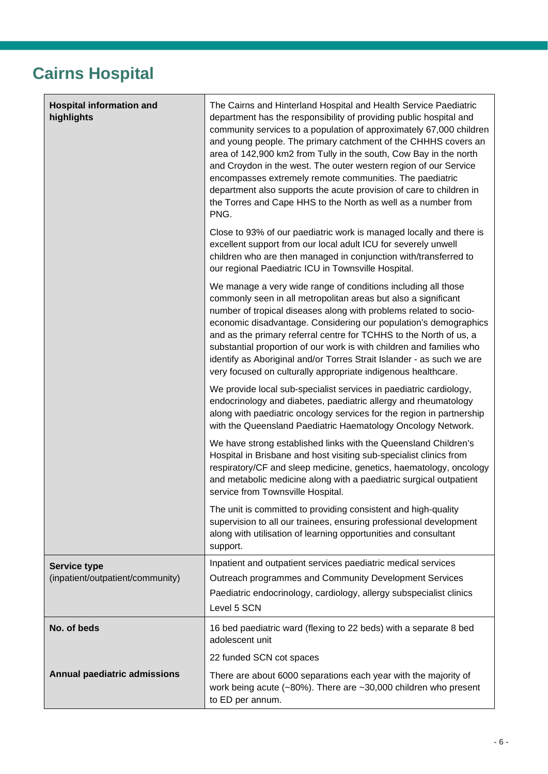#### <span id="page-5-0"></span>**Cairns Hospital**

| <b>Hospital information and</b><br>highlights           | The Cairns and Hinterland Hospital and Health Service Paediatric<br>department has the responsibility of providing public hospital and<br>community services to a population of approximately 67,000 children<br>and young people. The primary catchment of the CHHHS covers an<br>area of 142,900 km2 from Tully in the south, Cow Bay in the north<br>and Croydon in the west. The outer western region of our Service<br>encompasses extremely remote communities. The paediatric<br>department also supports the acute provision of care to children in<br>the Torres and Cape HHS to the North as well as a number from<br>PNG. |
|---------------------------------------------------------|--------------------------------------------------------------------------------------------------------------------------------------------------------------------------------------------------------------------------------------------------------------------------------------------------------------------------------------------------------------------------------------------------------------------------------------------------------------------------------------------------------------------------------------------------------------------------------------------------------------------------------------|
|                                                         | Close to 93% of our paediatric work is managed locally and there is<br>excellent support from our local adult ICU for severely unwell<br>children who are then managed in conjunction with/transferred to<br>our regional Paediatric ICU in Townsville Hospital.                                                                                                                                                                                                                                                                                                                                                                     |
|                                                         | We manage a very wide range of conditions including all those<br>commonly seen in all metropolitan areas but also a significant<br>number of tropical diseases along with problems related to socio-<br>economic disadvantage. Considering our population's demographics<br>and as the primary referral centre for TCHHS to the North of us, a<br>substantial proportion of our work is with children and families who<br>identify as Aboriginal and/or Torres Strait Islander - as such we are<br>very focused on culturally appropriate indigenous healthcare.                                                                     |
|                                                         | We provide local sub-specialist services in paediatric cardiology,<br>endocrinology and diabetes, paediatric allergy and rheumatology<br>along with paediatric oncology services for the region in partnership<br>with the Queensland Paediatric Haematology Oncology Network.                                                                                                                                                                                                                                                                                                                                                       |
|                                                         | We have strong established links with the Queensland Children's<br>Hospital in Brisbane and host visiting sub-specialist clinics from<br>respiratory/CF and sleep medicine, genetics, haematology, oncology<br>and metabolic medicine along with a paediatric surgical outpatient<br>service from Townsville Hospital.                                                                                                                                                                                                                                                                                                               |
|                                                         | The unit is committed to providing consistent and high-quality<br>supervision to all our trainees, ensuring professional development<br>along with utilisation of learning opportunities and consultant<br>support.                                                                                                                                                                                                                                                                                                                                                                                                                  |
| <b>Service type</b><br>(inpatient/outpatient/community) | Inpatient and outpatient services paediatric medical services<br>Outreach programmes and Community Development Services<br>Paediatric endocrinology, cardiology, allergy subspecialist clinics<br>Level 5 SCN                                                                                                                                                                                                                                                                                                                                                                                                                        |
| No. of beds                                             | 16 bed paediatric ward (flexing to 22 beds) with a separate 8 bed<br>adolescent unit                                                                                                                                                                                                                                                                                                                                                                                                                                                                                                                                                 |
|                                                         | 22 funded SCN cot spaces                                                                                                                                                                                                                                                                                                                                                                                                                                                                                                                                                                                                             |
| <b>Annual paediatric admissions</b>                     | There are about 6000 separations each year with the majority of<br>work being acute ( $\approx 80\%$ ). There are $\approx 30,000$ children who present<br>to ED per annum.                                                                                                                                                                                                                                                                                                                                                                                                                                                          |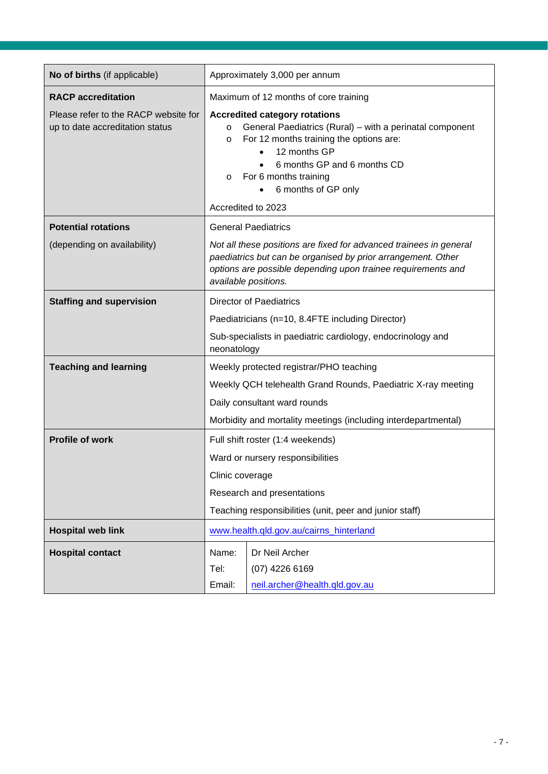| No of births (if applicable)                                            | Approximately 3,000 per annum                                                                                                                                                                                                                                                                     |  |  |
|-------------------------------------------------------------------------|---------------------------------------------------------------------------------------------------------------------------------------------------------------------------------------------------------------------------------------------------------------------------------------------------|--|--|
| <b>RACP</b> accreditation                                               | Maximum of 12 months of core training                                                                                                                                                                                                                                                             |  |  |
| Please refer to the RACP website for<br>up to date accreditation status | <b>Accredited category rotations</b><br>General Paediatrics (Rural) – with a perinatal component<br>$\circ$<br>For 12 months training the options are:<br>$\circ$<br>12 months GP<br>6 months GP and 6 months CD<br>For 6 months training<br>$\circ$<br>6 months of GP only<br>Accredited to 2023 |  |  |
| <b>Potential rotations</b>                                              | <b>General Paediatrics</b>                                                                                                                                                                                                                                                                        |  |  |
| (depending on availability)                                             | Not all these positions are fixed for advanced trainees in general<br>paediatrics but can be organised by prior arrangement. Other<br>options are possible depending upon trainee requirements and<br>available positions.                                                                        |  |  |
| <b>Staffing and supervision</b>                                         | <b>Director of Paediatrics</b>                                                                                                                                                                                                                                                                    |  |  |
|                                                                         | Paediatricians (n=10, 8.4FTE including Director)                                                                                                                                                                                                                                                  |  |  |
|                                                                         | Sub-specialists in paediatric cardiology, endocrinology and<br>neonatology                                                                                                                                                                                                                        |  |  |
| <b>Teaching and learning</b>                                            | Weekly protected registrar/PHO teaching                                                                                                                                                                                                                                                           |  |  |
|                                                                         | Weekly QCH telehealth Grand Rounds, Paediatric X-ray meeting                                                                                                                                                                                                                                      |  |  |
|                                                                         | Daily consultant ward rounds                                                                                                                                                                                                                                                                      |  |  |
|                                                                         | Morbidity and mortality meetings (including interdepartmental)                                                                                                                                                                                                                                    |  |  |
| <b>Profile of work</b>                                                  | Full shift roster (1:4 weekends)                                                                                                                                                                                                                                                                  |  |  |
|                                                                         | Ward or nursery responsibilities                                                                                                                                                                                                                                                                  |  |  |
|                                                                         | Clinic coverage                                                                                                                                                                                                                                                                                   |  |  |
|                                                                         | Research and presentations                                                                                                                                                                                                                                                                        |  |  |
|                                                                         | Teaching responsibilities (unit, peer and junior staff)                                                                                                                                                                                                                                           |  |  |
| <b>Hospital web link</b>                                                | www.health.qld.gov.au/cairns_hinterland                                                                                                                                                                                                                                                           |  |  |
| <b>Hospital contact</b>                                                 | Dr Neil Archer<br>Name:                                                                                                                                                                                                                                                                           |  |  |
|                                                                         | Tel:<br>(07) 4226 6169                                                                                                                                                                                                                                                                            |  |  |
|                                                                         | Email:<br>neil.archer@health.qld.gov.au                                                                                                                                                                                                                                                           |  |  |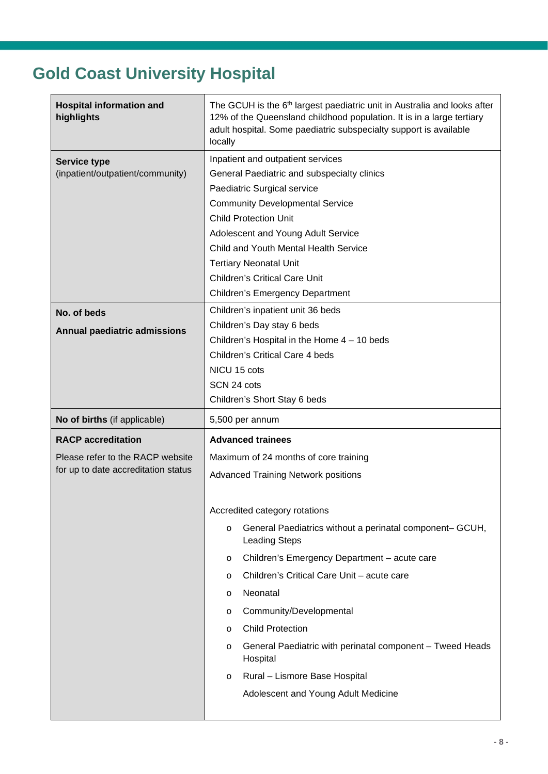## <span id="page-7-0"></span>**Gold Coast University Hospital**

| <b>Hospital information and</b><br>highlights                           | The GCUH is the 6 <sup>th</sup> largest paediatric unit in Australia and looks after<br>12% of the Queensland childhood population. It is in a large tertiary<br>adult hospital. Some paediatric subspecialty support is available<br>locally                                                                                                                                               |  |  |
|-------------------------------------------------------------------------|---------------------------------------------------------------------------------------------------------------------------------------------------------------------------------------------------------------------------------------------------------------------------------------------------------------------------------------------------------------------------------------------|--|--|
| <b>Service type</b><br>(inpatient/outpatient/community)                 | Inpatient and outpatient services<br>General Paediatric and subspecialty clinics<br>Paediatric Surgical service<br><b>Community Developmental Service</b><br><b>Child Protection Unit</b><br>Adolescent and Young Adult Service<br>Child and Youth Mental Health Service<br><b>Tertiary Neonatal Unit</b><br><b>Children's Critical Care Unit</b><br><b>Children's Emergency Department</b> |  |  |
| No. of beds<br><b>Annual paediatric admissions</b>                      | Children's inpatient unit 36 beds<br>Children's Day stay 6 beds<br>Children's Hospital in the Home $4 - 10$ beds<br><b>Children's Critical Care 4 beds</b><br>NICU 15 cots<br>SCN 24 cots<br>Children's Short Stay 6 beds                                                                                                                                                                   |  |  |
| No of births (if applicable)                                            | 5,500 per annum                                                                                                                                                                                                                                                                                                                                                                             |  |  |
|                                                                         |                                                                                                                                                                                                                                                                                                                                                                                             |  |  |
| <b>RACP</b> accreditation                                               | <b>Advanced trainees</b>                                                                                                                                                                                                                                                                                                                                                                    |  |  |
| Please refer to the RACP website<br>for up to date accreditation status | Maximum of 24 months of core training<br><b>Advanced Training Network positions</b><br>Accredited category rotations<br>General Paediatrics without a perinatal component- GCUH,<br>O<br><b>Leading Steps</b>                                                                                                                                                                               |  |  |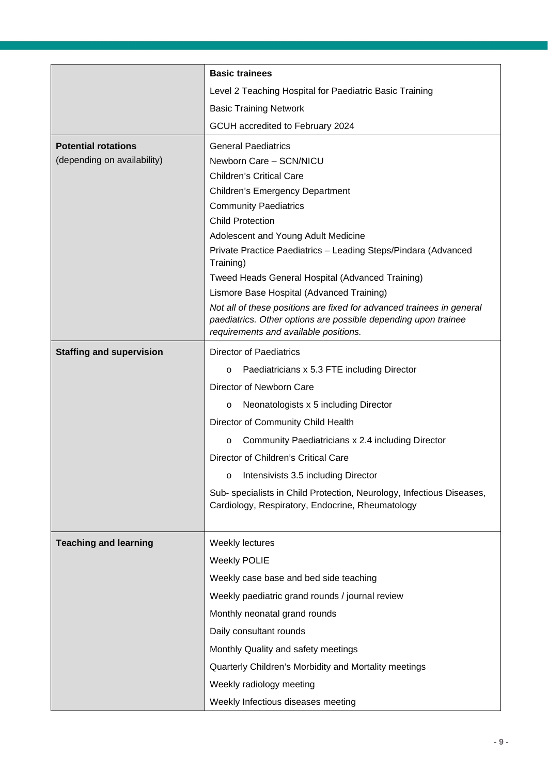|                                 | <b>Basic trainees</b>                                                                                                                                                            |
|---------------------------------|----------------------------------------------------------------------------------------------------------------------------------------------------------------------------------|
|                                 | Level 2 Teaching Hospital for Paediatric Basic Training                                                                                                                          |
|                                 | <b>Basic Training Network</b>                                                                                                                                                    |
|                                 | GCUH accredited to February 2024                                                                                                                                                 |
| <b>Potential rotations</b>      | <b>General Paediatrics</b>                                                                                                                                                       |
| (depending on availability)     | Newborn Care - SCN/NICU                                                                                                                                                          |
|                                 | <b>Children's Critical Care</b>                                                                                                                                                  |
|                                 | <b>Children's Emergency Department</b>                                                                                                                                           |
|                                 | <b>Community Paediatrics</b>                                                                                                                                                     |
|                                 | <b>Child Protection</b>                                                                                                                                                          |
|                                 | Adolescent and Young Adult Medicine                                                                                                                                              |
|                                 | Private Practice Paediatrics - Leading Steps/Pindara (Advanced<br>Training)                                                                                                      |
|                                 | Tweed Heads General Hospital (Advanced Training)                                                                                                                                 |
|                                 | Lismore Base Hospital (Advanced Training)                                                                                                                                        |
|                                 | Not all of these positions are fixed for advanced trainees in general<br>paediatrics. Other options are possible depending upon trainee<br>requirements and available positions. |
| <b>Staffing and supervision</b> | <b>Director of Paediatrics</b>                                                                                                                                                   |
|                                 | Paediatricians x 5.3 FTE including Director<br>$\circ$                                                                                                                           |
|                                 | Director of Newborn Care                                                                                                                                                         |
|                                 | Neonatologists x 5 including Director<br>$\circ$                                                                                                                                 |
|                                 | Director of Community Child Health                                                                                                                                               |
|                                 | Community Paediatricians x 2.4 including Director<br>$\circ$                                                                                                                     |
|                                 | Director of Children's Critical Care                                                                                                                                             |
|                                 | Intensivists 3.5 including Director<br>O                                                                                                                                         |
|                                 | Sub- specialists in Child Protection, Neurology, Infectious Diseases,<br>Cardiology, Respiratory, Endocrine, Rheumatology                                                        |
| <b>Teaching and learning</b>    | Weekly lectures                                                                                                                                                                  |
|                                 | <b>Weekly POLIE</b>                                                                                                                                                              |
|                                 | Weekly case base and bed side teaching                                                                                                                                           |
|                                 | Weekly paediatric grand rounds / journal review                                                                                                                                  |
|                                 | Monthly neonatal grand rounds                                                                                                                                                    |
|                                 | Daily consultant rounds                                                                                                                                                          |
|                                 | Monthly Quality and safety meetings                                                                                                                                              |
|                                 | Quarterly Children's Morbidity and Mortality meetings                                                                                                                            |
|                                 | Weekly radiology meeting                                                                                                                                                         |
|                                 | Weekly Infectious diseases meeting                                                                                                                                               |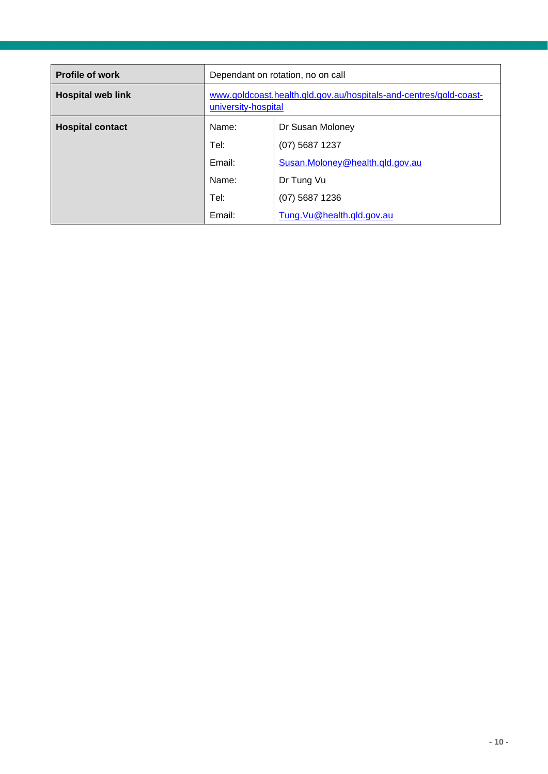| <b>Profile of work</b>   | Dependant on rotation, no on call                                                        |                                 |
|--------------------------|------------------------------------------------------------------------------------------|---------------------------------|
| <b>Hospital web link</b> | www.goldcoast.health.qld.gov.au/hospitals-and-centres/gold-coast-<br>university-hospital |                                 |
| <b>Hospital contact</b>  | Name:                                                                                    | Dr Susan Moloney                |
|                          | Tel:                                                                                     | $(07)$ 5687 1237                |
|                          | Email:                                                                                   | Susan.Moloney@health.qld.gov.au |
|                          | Name:                                                                                    | Dr Tung Vu                      |
|                          | Tel:                                                                                     | $(07)$ 5687 1236                |
|                          | Email:                                                                                   | Tung.Vu@health.qld.gov.au       |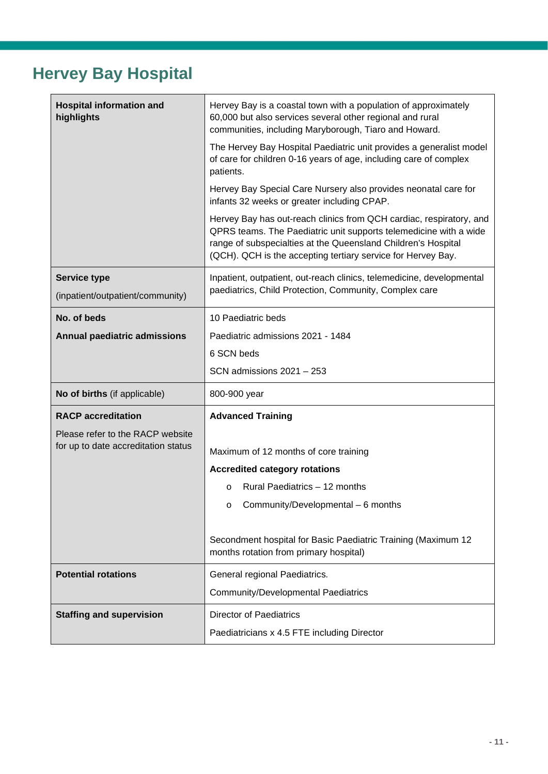## <span id="page-10-0"></span>**Hervey Bay Hospital**

| <b>Hospital information and</b><br>highlights                           | Hervey Bay is a coastal town with a population of approximately<br>60,000 but also services several other regional and rural<br>communities, including Maryborough, Tiaro and Howard.<br>The Hervey Bay Hospital Paediatric unit provides a generalist model<br>of care for children 0-16 years of age, including care of complex<br>patients.<br>Hervey Bay Special Care Nursery also provides neonatal care for<br>infants 32 weeks or greater including CPAP.<br>Hervey Bay has out-reach clinics from QCH cardiac, respiratory, and<br>QPRS teams. The Paediatric unit supports telemedicine with a wide<br>range of subspecialties at the Queensland Children's Hospital<br>(QCH). QCH is the accepting tertiary service for Hervey Bay. |
|-------------------------------------------------------------------------|-----------------------------------------------------------------------------------------------------------------------------------------------------------------------------------------------------------------------------------------------------------------------------------------------------------------------------------------------------------------------------------------------------------------------------------------------------------------------------------------------------------------------------------------------------------------------------------------------------------------------------------------------------------------------------------------------------------------------------------------------|
|                                                                         |                                                                                                                                                                                                                                                                                                                                                                                                                                                                                                                                                                                                                                                                                                                                               |
| <b>Service type</b><br>(inpatient/outpatient/community)                 | Inpatient, outpatient, out-reach clinics, telemedicine, developmental<br>paediatrics, Child Protection, Community, Complex care                                                                                                                                                                                                                                                                                                                                                                                                                                                                                                                                                                                                               |
| No. of beds                                                             | 10 Paediatric beds                                                                                                                                                                                                                                                                                                                                                                                                                                                                                                                                                                                                                                                                                                                            |
| Annual paediatric admissions                                            | Paediatric admissions 2021 - 1484                                                                                                                                                                                                                                                                                                                                                                                                                                                                                                                                                                                                                                                                                                             |
|                                                                         | 6 SCN beds                                                                                                                                                                                                                                                                                                                                                                                                                                                                                                                                                                                                                                                                                                                                    |
|                                                                         | SCN admissions $2021 - 253$                                                                                                                                                                                                                                                                                                                                                                                                                                                                                                                                                                                                                                                                                                                   |
| No of births (if applicable)                                            | 800-900 year                                                                                                                                                                                                                                                                                                                                                                                                                                                                                                                                                                                                                                                                                                                                  |
| <b>RACP</b> accreditation                                               | <b>Advanced Training</b>                                                                                                                                                                                                                                                                                                                                                                                                                                                                                                                                                                                                                                                                                                                      |
| Please refer to the RACP website<br>for up to date accreditation status | Maximum of 12 months of core training<br><b>Accredited category rotations</b>                                                                                                                                                                                                                                                                                                                                                                                                                                                                                                                                                                                                                                                                 |
|                                                                         | Rural Paediatrics - 12 months<br>$\circ$                                                                                                                                                                                                                                                                                                                                                                                                                                                                                                                                                                                                                                                                                                      |
|                                                                         | Community/Developmental - 6 months<br>$\cap$                                                                                                                                                                                                                                                                                                                                                                                                                                                                                                                                                                                                                                                                                                  |
|                                                                         | Secondment hospital for Basic Paediatric Training (Maximum 12<br>months rotation from primary hospital)                                                                                                                                                                                                                                                                                                                                                                                                                                                                                                                                                                                                                                       |
| <b>Potential rotations</b>                                              | General regional Paediatrics.                                                                                                                                                                                                                                                                                                                                                                                                                                                                                                                                                                                                                                                                                                                 |
|                                                                         | <b>Community/Developmental Paediatrics</b>                                                                                                                                                                                                                                                                                                                                                                                                                                                                                                                                                                                                                                                                                                    |
| <b>Staffing and supervision</b>                                         | <b>Director of Paediatrics</b>                                                                                                                                                                                                                                                                                                                                                                                                                                                                                                                                                                                                                                                                                                                |
|                                                                         | Paediatricians x 4.5 FTE including Director                                                                                                                                                                                                                                                                                                                                                                                                                                                                                                                                                                                                                                                                                                   |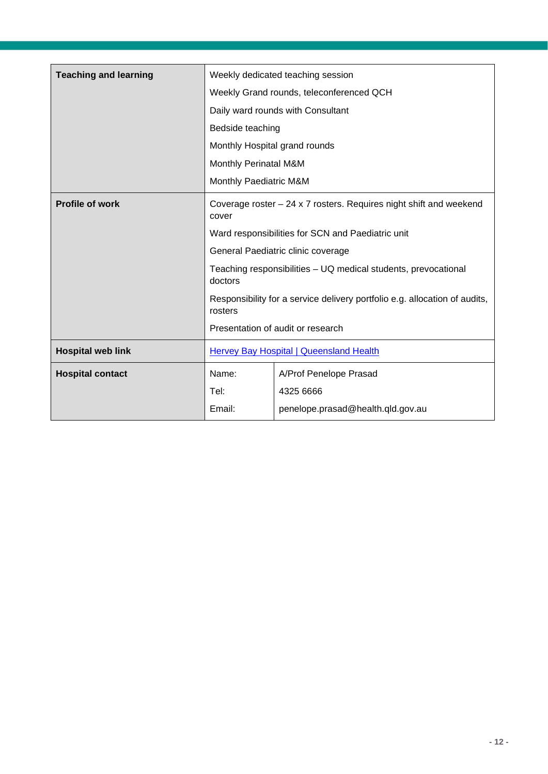| <b>Teaching and learning</b> |                                                                                       | Weekly dedicated teaching session        |
|------------------------------|---------------------------------------------------------------------------------------|------------------------------------------|
|                              |                                                                                       | Weekly Grand rounds, teleconferenced QCH |
|                              | Daily ward rounds with Consultant                                                     |                                          |
|                              | Bedside teaching                                                                      |                                          |
|                              | Monthly Hospital grand rounds                                                         |                                          |
|                              | <b>Monthly Perinatal M&amp;M</b>                                                      |                                          |
|                              | Monthly Paediatric M&M                                                                |                                          |
| <b>Profile of work</b>       | Coverage roster $-24 \times 7$ rosters. Requires night shift and weekend<br>cover     |                                          |
|                              | Ward responsibilities for SCN and Paediatric unit                                     |                                          |
|                              | General Paediatric clinic coverage                                                    |                                          |
|                              | Teaching responsibilities - UQ medical students, prevocational<br>doctors             |                                          |
|                              | Responsibility for a service delivery portfolio e.g. allocation of audits,<br>rosters |                                          |
|                              | Presentation of audit or research                                                     |                                          |
| <b>Hospital web link</b>     | <b>Hervey Bay Hospital   Queensland Health</b>                                        |                                          |
| <b>Hospital contact</b>      | Name:                                                                                 | A/Prof Penelope Prasad                   |
|                              | Tel:                                                                                  | 4325 6666                                |
|                              | Email:                                                                                | penelope.prasad@health.qld.gov.au        |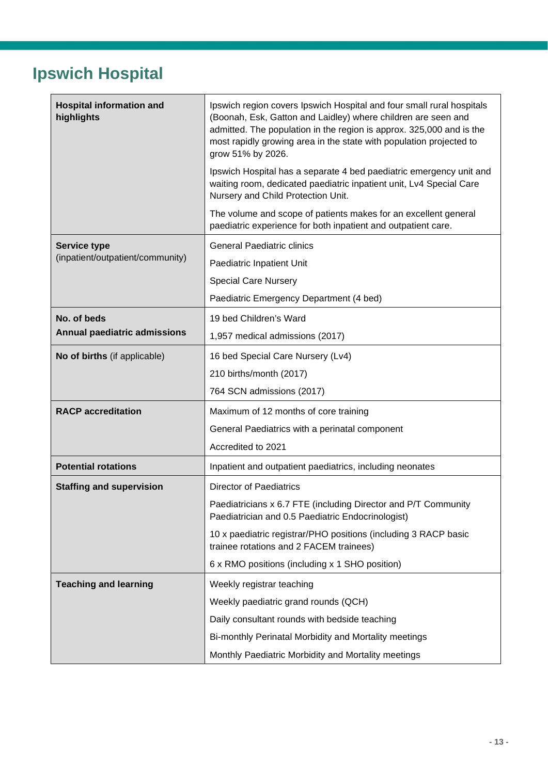#### <span id="page-12-0"></span>**Ipswich Hospital**

| <b>Hospital information and</b><br>highlights | Ipswich region covers Ipswich Hospital and four small rural hospitals<br>(Boonah, Esk, Gatton and Laidley) where children are seen and<br>admitted. The population in the region is approx. 325,000 and is the<br>most rapidly growing area in the state with population projected to<br>grow 51% by 2026. |  |  |
|-----------------------------------------------|------------------------------------------------------------------------------------------------------------------------------------------------------------------------------------------------------------------------------------------------------------------------------------------------------------|--|--|
|                                               | Ipswich Hospital has a separate 4 bed paediatric emergency unit and<br>waiting room, dedicated paediatric inpatient unit, Lv4 Special Care<br>Nursery and Child Protection Unit.                                                                                                                           |  |  |
|                                               | The volume and scope of patients makes for an excellent general<br>paediatric experience for both inpatient and outpatient care.                                                                                                                                                                           |  |  |
| <b>Service type</b>                           | <b>General Paediatric clinics</b>                                                                                                                                                                                                                                                                          |  |  |
| (inpatient/outpatient/community)              | Paediatric Inpatient Unit                                                                                                                                                                                                                                                                                  |  |  |
|                                               | <b>Special Care Nursery</b>                                                                                                                                                                                                                                                                                |  |  |
|                                               | Paediatric Emergency Department (4 bed)                                                                                                                                                                                                                                                                    |  |  |
| No. of beds                                   | 19 bed Children's Ward                                                                                                                                                                                                                                                                                     |  |  |
| <b>Annual paediatric admissions</b>           | 1,957 medical admissions (2017)                                                                                                                                                                                                                                                                            |  |  |
| No of births (if applicable)                  | 16 bed Special Care Nursery (Lv4)                                                                                                                                                                                                                                                                          |  |  |
|                                               | 210 births/month (2017)                                                                                                                                                                                                                                                                                    |  |  |
|                                               | 764 SCN admissions (2017)                                                                                                                                                                                                                                                                                  |  |  |
| <b>RACP</b> accreditation                     | Maximum of 12 months of core training                                                                                                                                                                                                                                                                      |  |  |
|                                               | General Paediatrics with a perinatal component                                                                                                                                                                                                                                                             |  |  |
|                                               | Accredited to 2021                                                                                                                                                                                                                                                                                         |  |  |
| <b>Potential rotations</b>                    | Inpatient and outpatient paediatrics, including neonates                                                                                                                                                                                                                                                   |  |  |
| <b>Staffing and supervision</b>               | <b>Director of Paediatrics</b>                                                                                                                                                                                                                                                                             |  |  |
|                                               | Paediatricians x 6.7 FTE (including Director and P/T Community<br>Paediatrician and 0.5 Paediatric Endocrinologist)                                                                                                                                                                                        |  |  |
|                                               | 10 x paediatric registrar/PHO positions (including 3 RACP basic<br>trainee rotations and 2 FACEM trainees)                                                                                                                                                                                                 |  |  |
|                                               | 6 x RMO positions (including x 1 SHO position)                                                                                                                                                                                                                                                             |  |  |
| <b>Teaching and learning</b>                  | Weekly registrar teaching                                                                                                                                                                                                                                                                                  |  |  |
|                                               | Weekly paediatric grand rounds (QCH)                                                                                                                                                                                                                                                                       |  |  |
|                                               | Daily consultant rounds with bedside teaching                                                                                                                                                                                                                                                              |  |  |
|                                               | Bi-monthly Perinatal Morbidity and Mortality meetings                                                                                                                                                                                                                                                      |  |  |
|                                               | Monthly Paediatric Morbidity and Mortality meetings                                                                                                                                                                                                                                                        |  |  |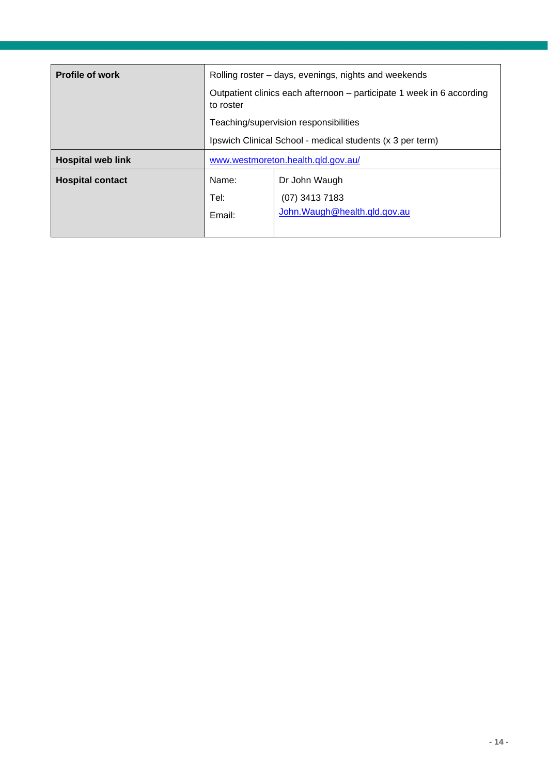| <b>Profile of work</b>   | Rolling roster – days, evenings, nights and weekends                               |                                |  |
|--------------------------|------------------------------------------------------------------------------------|--------------------------------|--|
|                          | Outpatient clinics each afternoon – participate 1 week in 6 according<br>to roster |                                |  |
|                          | Teaching/supervision responsibilities                                              |                                |  |
|                          | Ipswich Clinical School - medical students (x 3 per term)                          |                                |  |
| <b>Hospital web link</b> | www.westmoreton.health.qld.gov.au/                                                 |                                |  |
| <b>Hospital contact</b>  | Name:                                                                              | Dr John Waugh                  |  |
|                          | Tel:                                                                               | $(07)$ 3413 7183               |  |
|                          | Email:                                                                             | John. Waugh @health.qld.qov.au |  |
|                          |                                                                                    |                                |  |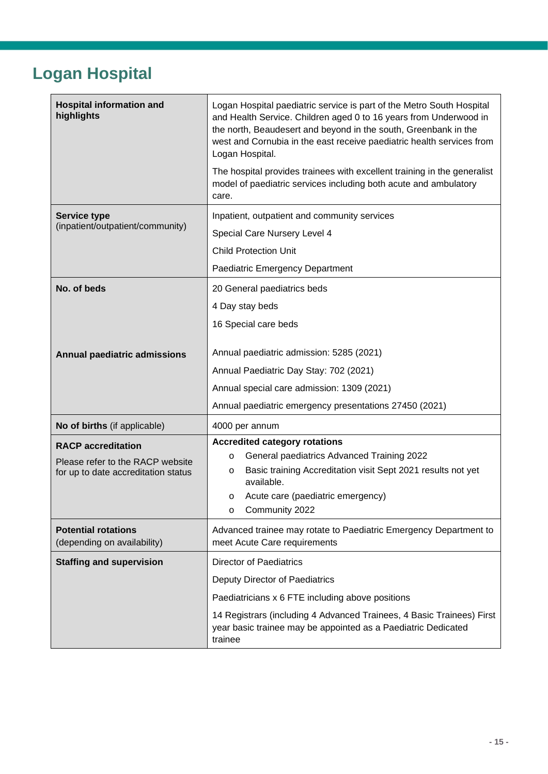## <span id="page-14-0"></span>**Logan Hospital**

| <b>Hospital information and</b><br>highlights             | Logan Hospital paediatric service is part of the Metro South Hospital<br>and Health Service. Children aged 0 to 16 years from Underwood in<br>the north, Beaudesert and beyond in the south, Greenbank in the<br>west and Cornubia in the east receive paediatric health services from<br>Logan Hospital.<br>The hospital provides trainees with excellent training in the generalist<br>model of paediatric services including both acute and ambulatory<br>care. |  |  |
|-----------------------------------------------------------|--------------------------------------------------------------------------------------------------------------------------------------------------------------------------------------------------------------------------------------------------------------------------------------------------------------------------------------------------------------------------------------------------------------------------------------------------------------------|--|--|
| <b>Service type</b>                                       | Inpatient, outpatient and community services                                                                                                                                                                                                                                                                                                                                                                                                                       |  |  |
| (inpatient/outpatient/community)                          | Special Care Nursery Level 4                                                                                                                                                                                                                                                                                                                                                                                                                                       |  |  |
|                                                           | <b>Child Protection Unit</b>                                                                                                                                                                                                                                                                                                                                                                                                                                       |  |  |
|                                                           | Paediatric Emergency Department                                                                                                                                                                                                                                                                                                                                                                                                                                    |  |  |
| No. of beds                                               | 20 General paediatrics beds                                                                                                                                                                                                                                                                                                                                                                                                                                        |  |  |
|                                                           | 4 Day stay beds                                                                                                                                                                                                                                                                                                                                                                                                                                                    |  |  |
|                                                           | 16 Special care beds                                                                                                                                                                                                                                                                                                                                                                                                                                               |  |  |
| Annual paediatric admissions                              | Annual paediatric admission: 5285 (2021)<br>Annual Paediatric Day Stay: 702 (2021)                                                                                                                                                                                                                                                                                                                                                                                 |  |  |
|                                                           | Annual special care admission: 1309 (2021)                                                                                                                                                                                                                                                                                                                                                                                                                         |  |  |
|                                                           | Annual paediatric emergency presentations 27450 (2021)                                                                                                                                                                                                                                                                                                                                                                                                             |  |  |
| No of births (if applicable)                              | 4000 per annum                                                                                                                                                                                                                                                                                                                                                                                                                                                     |  |  |
| <b>RACP</b> accreditation                                 | <b>Accredited category rotations</b>                                                                                                                                                                                                                                                                                                                                                                                                                               |  |  |
| Please refer to the RACP website                          | General paediatrics Advanced Training 2022<br>$\circ$                                                                                                                                                                                                                                                                                                                                                                                                              |  |  |
| for up to date accreditation status                       | Basic training Accreditation visit Sept 2021 results not yet<br>O<br>available.                                                                                                                                                                                                                                                                                                                                                                                    |  |  |
|                                                           | Acute care (paediatric emergency)<br>$\circ$                                                                                                                                                                                                                                                                                                                                                                                                                       |  |  |
|                                                           | Community 2022<br>O                                                                                                                                                                                                                                                                                                                                                                                                                                                |  |  |
| <b>Potential rotations</b><br>(depending on availability) | Advanced trainee may rotate to Paediatric Emergency Department to<br>meet Acute Care requirements                                                                                                                                                                                                                                                                                                                                                                  |  |  |
| <b>Staffing and supervision</b>                           | <b>Director of Paediatrics</b>                                                                                                                                                                                                                                                                                                                                                                                                                                     |  |  |
|                                                           | Deputy Director of Paediatrics                                                                                                                                                                                                                                                                                                                                                                                                                                     |  |  |
|                                                           | Paediatricians x 6 FTE including above positions                                                                                                                                                                                                                                                                                                                                                                                                                   |  |  |
|                                                           | 14 Registrars (including 4 Advanced Trainees, 4 Basic Trainees) First<br>year basic trainee may be appointed as a Paediatric Dedicated<br>trainee                                                                                                                                                                                                                                                                                                                  |  |  |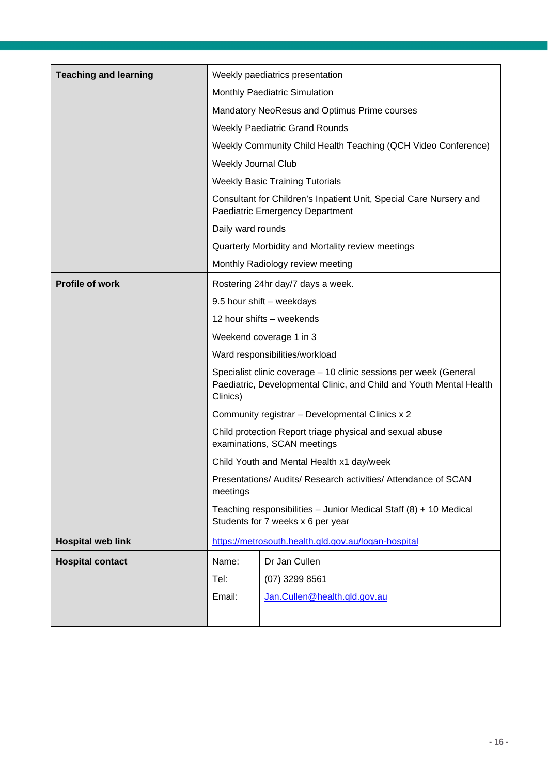| <b>Teaching and learning</b> |                                                                                                                                                      | Weekly paediatrics presentation                     |
|------------------------------|------------------------------------------------------------------------------------------------------------------------------------------------------|-----------------------------------------------------|
|                              | Monthly Paediatric Simulation                                                                                                                        |                                                     |
|                              |                                                                                                                                                      | Mandatory NeoResus and Optimus Prime courses        |
|                              | <b>Weekly Paediatric Grand Rounds</b>                                                                                                                |                                                     |
|                              | Weekly Community Child Health Teaching (QCH Video Conference)                                                                                        |                                                     |
|                              | Weekly Journal Club                                                                                                                                  |                                                     |
|                              |                                                                                                                                                      | <b>Weekly Basic Training Tutorials</b>              |
|                              | Consultant for Children's Inpatient Unit, Special Care Nursery and<br>Paediatric Emergency Department                                                |                                                     |
|                              | Daily ward rounds                                                                                                                                    |                                                     |
|                              |                                                                                                                                                      | Quarterly Morbidity and Mortality review meetings   |
|                              |                                                                                                                                                      | Monthly Radiology review meeting                    |
| <b>Profile of work</b>       | Rostering 24hr day/7 days a week.                                                                                                                    |                                                     |
|                              |                                                                                                                                                      | 9.5 hour shift - weekdays                           |
|                              |                                                                                                                                                      | 12 hour shifts - weekends                           |
|                              |                                                                                                                                                      | Weekend coverage 1 in 3                             |
|                              | Ward responsibilities/workload                                                                                                                       |                                                     |
|                              | Specialist clinic coverage - 10 clinic sessions per week (General<br>Paediatric, Developmental Clinic, and Child and Youth Mental Health<br>Clinics) |                                                     |
|                              |                                                                                                                                                      | Community registrar - Developmental Clinics x 2     |
|                              | Child protection Report triage physical and sexual abuse<br>examinations, SCAN meetings                                                              |                                                     |
|                              |                                                                                                                                                      | Child Youth and Mental Health x1 day/week           |
|                              | Presentations/ Audits/ Research activities/ Attendance of SCAN<br>meetings                                                                           |                                                     |
|                              | Teaching responsibilities - Junior Medical Staff (8) + 10 Medical<br>Students for 7 weeks x 6 per year                                               |                                                     |
| <b>Hospital web link</b>     |                                                                                                                                                      | https://metrosouth.health.qld.gov.au/logan-hospital |
| <b>Hospital contact</b>      | Name:                                                                                                                                                | Dr Jan Cullen                                       |
|                              | Tel:                                                                                                                                                 | $(07)$ 3299 8561                                    |
|                              | Email:                                                                                                                                               | Jan.Cullen@health.qld.gov.au                        |
|                              |                                                                                                                                                      |                                                     |
|                              |                                                                                                                                                      |                                                     |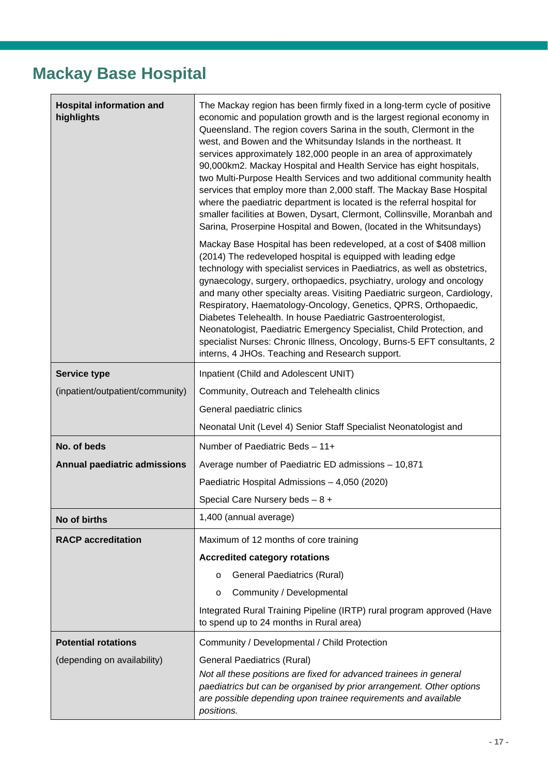#### <span id="page-16-0"></span>**Mackay Base Hospital**

| <b>Hospital information and</b><br>highlights | The Mackay region has been firmly fixed in a long-term cycle of positive<br>economic and population growth and is the largest regional economy in<br>Queensland. The region covers Sarina in the south, Clermont in the<br>west, and Bowen and the Whitsunday Islands in the northeast. It<br>services approximately 182,000 people in an area of approximately<br>90,000km2. Mackay Hospital and Health Service has eight hospitals,<br>two Multi-Purpose Health Services and two additional community health<br>services that employ more than 2,000 staff. The Mackay Base Hospital<br>where the paediatric department is located is the referral hospital for<br>smaller facilities at Bowen, Dysart, Clermont, Collinsville, Moranbah and<br>Sarina, Proserpine Hospital and Bowen, (located in the Whitsundays) |  |  |
|-----------------------------------------------|-----------------------------------------------------------------------------------------------------------------------------------------------------------------------------------------------------------------------------------------------------------------------------------------------------------------------------------------------------------------------------------------------------------------------------------------------------------------------------------------------------------------------------------------------------------------------------------------------------------------------------------------------------------------------------------------------------------------------------------------------------------------------------------------------------------------------|--|--|
|                                               | Mackay Base Hospital has been redeveloped, at a cost of \$408 million<br>(2014) The redeveloped hospital is equipped with leading edge<br>technology with specialist services in Paediatrics, as well as obstetrics,<br>gynaecology, surgery, orthopaedics, psychiatry, urology and oncology<br>and many other specialty areas. Visiting Paediatric surgeon, Cardiology,<br>Respiratory, Haematology-Oncology, Genetics, QPRS, Orthopaedic,<br>Diabetes Telehealth. In house Paediatric Gastroenterologist,<br>Neonatologist, Paediatric Emergency Specialist, Child Protection, and<br>specialist Nurses: Chronic Illness, Oncology, Burns-5 EFT consultants, 2<br>interns, 4 JHOs. Teaching and Research support.                                                                                                   |  |  |
| <b>Service type</b>                           | Inpatient (Child and Adolescent UNIT)                                                                                                                                                                                                                                                                                                                                                                                                                                                                                                                                                                                                                                                                                                                                                                                 |  |  |
| (inpatient/outpatient/community)              | Community, Outreach and Telehealth clinics                                                                                                                                                                                                                                                                                                                                                                                                                                                                                                                                                                                                                                                                                                                                                                            |  |  |
|                                               | General paediatric clinics                                                                                                                                                                                                                                                                                                                                                                                                                                                                                                                                                                                                                                                                                                                                                                                            |  |  |
|                                               | Neonatal Unit (Level 4) Senior Staff Specialist Neonatologist and                                                                                                                                                                                                                                                                                                                                                                                                                                                                                                                                                                                                                                                                                                                                                     |  |  |
| No. of beds                                   | Number of Paediatric Beds - 11+                                                                                                                                                                                                                                                                                                                                                                                                                                                                                                                                                                                                                                                                                                                                                                                       |  |  |
| Annual paediatric admissions                  | Average number of Paediatric ED admissions - 10,871                                                                                                                                                                                                                                                                                                                                                                                                                                                                                                                                                                                                                                                                                                                                                                   |  |  |
|                                               | Paediatric Hospital Admissions - 4,050 (2020)                                                                                                                                                                                                                                                                                                                                                                                                                                                                                                                                                                                                                                                                                                                                                                         |  |  |
|                                               | Special Care Nursery beds - 8 +                                                                                                                                                                                                                                                                                                                                                                                                                                                                                                                                                                                                                                                                                                                                                                                       |  |  |
| No of births                                  | 1,400 (annual average)                                                                                                                                                                                                                                                                                                                                                                                                                                                                                                                                                                                                                                                                                                                                                                                                |  |  |
| <b>RACP</b> accreditation                     | Maximum of 12 months of core training                                                                                                                                                                                                                                                                                                                                                                                                                                                                                                                                                                                                                                                                                                                                                                                 |  |  |
|                                               | <b>Accredited category rotations</b>                                                                                                                                                                                                                                                                                                                                                                                                                                                                                                                                                                                                                                                                                                                                                                                  |  |  |
|                                               | <b>General Paediatrics (Rural)</b><br>$\circ$                                                                                                                                                                                                                                                                                                                                                                                                                                                                                                                                                                                                                                                                                                                                                                         |  |  |
|                                               | Community / Developmental<br>$\circ$                                                                                                                                                                                                                                                                                                                                                                                                                                                                                                                                                                                                                                                                                                                                                                                  |  |  |
|                                               | Integrated Rural Training Pipeline (IRTP) rural program approved (Have<br>to spend up to 24 months in Rural area)                                                                                                                                                                                                                                                                                                                                                                                                                                                                                                                                                                                                                                                                                                     |  |  |
| <b>Potential rotations</b>                    | Community / Developmental / Child Protection                                                                                                                                                                                                                                                                                                                                                                                                                                                                                                                                                                                                                                                                                                                                                                          |  |  |
| (depending on availability)                   | <b>General Paediatrics (Rural)</b>                                                                                                                                                                                                                                                                                                                                                                                                                                                                                                                                                                                                                                                                                                                                                                                    |  |  |
|                                               | Not all these positions are fixed for advanced trainees in general<br>paediatrics but can be organised by prior arrangement. Other options<br>are possible depending upon trainee requirements and available<br>positions.                                                                                                                                                                                                                                                                                                                                                                                                                                                                                                                                                                                            |  |  |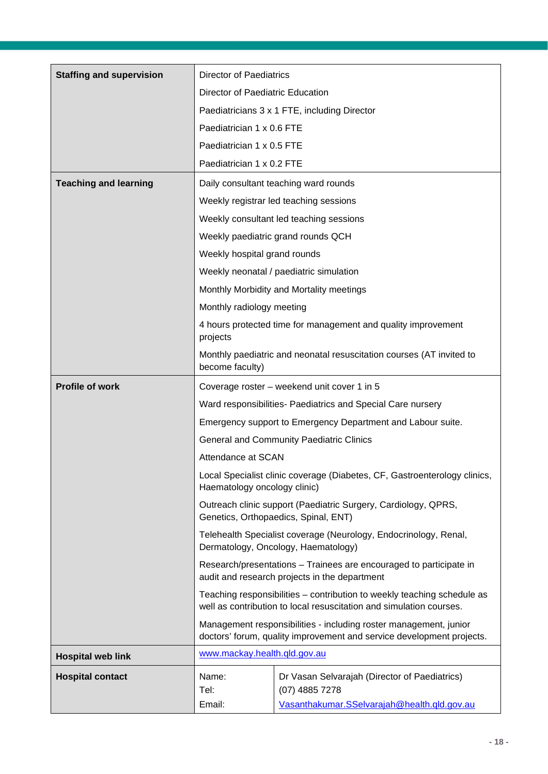| <b>Staffing and supervision</b> | <b>Director of Paediatrics</b>                                                                                                                                                                                      |                                                               |  |
|---------------------------------|---------------------------------------------------------------------------------------------------------------------------------------------------------------------------------------------------------------------|---------------------------------------------------------------|--|
|                                 | Director of Paediatric Education                                                                                                                                                                                    |                                                               |  |
|                                 | Paediatricians 3 x 1 FTE, including Director                                                                                                                                                                        |                                                               |  |
|                                 | Paediatrician 1 x 0.6 FTE                                                                                                                                                                                           |                                                               |  |
|                                 | Paediatrician 1 x 0.5 FTE                                                                                                                                                                                           |                                                               |  |
|                                 | Paediatrician 1 x 0.2 FTE                                                                                                                                                                                           |                                                               |  |
| <b>Teaching and learning</b>    |                                                                                                                                                                                                                     | Daily consultant teaching ward rounds                         |  |
|                                 | Weekly registrar led teaching sessions                                                                                                                                                                              |                                                               |  |
|                                 |                                                                                                                                                                                                                     | Weekly consultant led teaching sessions                       |  |
|                                 |                                                                                                                                                                                                                     | Weekly paediatric grand rounds QCH                            |  |
|                                 | Weekly hospital grand rounds                                                                                                                                                                                        |                                                               |  |
|                                 |                                                                                                                                                                                                                     | Weekly neonatal / paediatric simulation                       |  |
|                                 |                                                                                                                                                                                                                     | Monthly Morbidity and Mortality meetings                      |  |
|                                 | Monthly radiology meeting                                                                                                                                                                                           |                                                               |  |
|                                 | projects                                                                                                                                                                                                            | 4 hours protected time for management and quality improvement |  |
|                                 | Monthly paediatric and neonatal resuscitation courses (AT invited to<br>become faculty)                                                                                                                             |                                                               |  |
| <b>Profile of work</b>          | Coverage roster – weekend unit cover 1 in 5                                                                                                                                                                         |                                                               |  |
|                                 | Ward responsibilities- Paediatrics and Special Care nursery                                                                                                                                                         |                                                               |  |
|                                 |                                                                                                                                                                                                                     | Emergency support to Emergency Department and Labour suite.   |  |
|                                 |                                                                                                                                                                                                                     | <b>General and Community Paediatric Clinics</b>               |  |
|                                 | Attendance at SCAN                                                                                                                                                                                                  |                                                               |  |
|                                 | Local Specialist clinic coverage (Diabetes, CF, Gastroenterology clinics,<br>Haematology oncology clinic)<br>Outreach clinic support (Paediatric Surgery, Cardiology, QPRS,<br>Genetics, Orthopaedics, Spinal, ENT) |                                                               |  |
|                                 |                                                                                                                                                                                                                     |                                                               |  |
|                                 | Telehealth Specialist coverage (Neurology, Endocrinology, Renal,<br>Dermatology, Oncology, Haematology)                                                                                                             |                                                               |  |
|                                 | Research/presentations - Trainees are encouraged to participate in<br>audit and research projects in the department                                                                                                 |                                                               |  |
|                                 | Teaching responsibilities - contribution to weekly teaching schedule as<br>well as contribution to local resuscitation and simulation courses.                                                                      |                                                               |  |
|                                 | Management responsibilities - including roster management, junior<br>doctors' forum, quality improvement and service development projects.                                                                          |                                                               |  |
| <b>Hospital web link</b>        | www.mackay.health.qld.gov.au                                                                                                                                                                                        |                                                               |  |
| <b>Hospital contact</b>         | Name:                                                                                                                                                                                                               | Dr Vasan Selvarajah (Director of Paediatrics)                 |  |
|                                 | Tel:                                                                                                                                                                                                                | (07) 4885 7278                                                |  |
|                                 | Email:                                                                                                                                                                                                              | Vasanthakumar.SSelvarajah@health.qld.gov.au                   |  |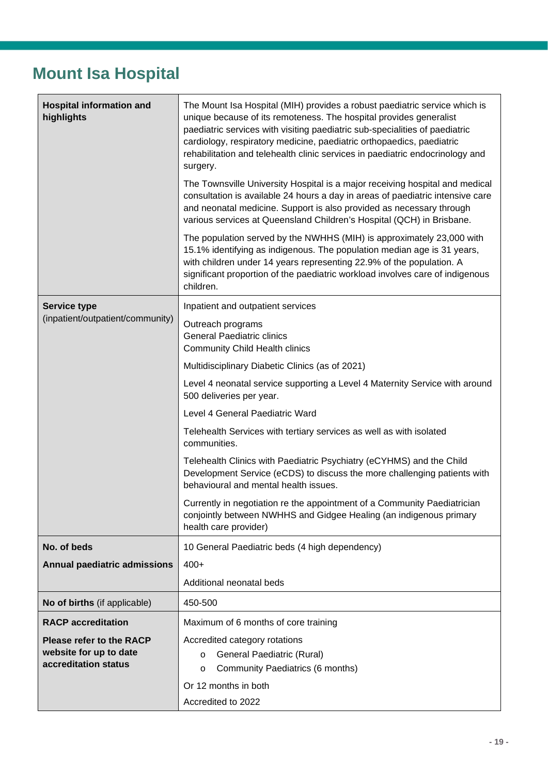#### <span id="page-18-0"></span>**Mount Isa Hospital**

| <b>Hospital information and</b><br>highlights                                     | The Mount Isa Hospital (MIH) provides a robust paediatric service which is<br>unique because of its remoteness. The hospital provides generalist<br>paediatric services with visiting paediatric sub-specialities of paediatric<br>cardiology, respiratory medicine, paediatric orthopaedics, paediatric<br>rehabilitation and telehealth clinic services in paediatric endocrinology and<br>surgery. |  |  |
|-----------------------------------------------------------------------------------|-------------------------------------------------------------------------------------------------------------------------------------------------------------------------------------------------------------------------------------------------------------------------------------------------------------------------------------------------------------------------------------------------------|--|--|
|                                                                                   | The Townsville University Hospital is a major receiving hospital and medical<br>consultation is available 24 hours a day in areas of paediatric intensive care<br>and neonatal medicine. Support is also provided as necessary through<br>various services at Queensland Children's Hospital (QCH) in Brisbane.                                                                                       |  |  |
|                                                                                   | The population served by the NWHHS (MIH) is approximately 23,000 with<br>15.1% identifying as indigenous. The population median age is 31 years,<br>with children under 14 years representing 22.9% of the population. A<br>significant proportion of the paediatric workload involves care of indigenous<br>children.                                                                                |  |  |
| <b>Service type</b>                                                               | Inpatient and outpatient services                                                                                                                                                                                                                                                                                                                                                                     |  |  |
| (inpatient/outpatient/community)                                                  | Outreach programs<br><b>General Paediatric clinics</b><br><b>Community Child Health clinics</b>                                                                                                                                                                                                                                                                                                       |  |  |
|                                                                                   | Multidisciplinary Diabetic Clinics (as of 2021)                                                                                                                                                                                                                                                                                                                                                       |  |  |
|                                                                                   | Level 4 neonatal service supporting a Level 4 Maternity Service with around<br>500 deliveries per year.                                                                                                                                                                                                                                                                                               |  |  |
|                                                                                   | Level 4 General Paediatric Ward                                                                                                                                                                                                                                                                                                                                                                       |  |  |
|                                                                                   | Telehealth Services with tertiary services as well as with isolated<br>communities.                                                                                                                                                                                                                                                                                                                   |  |  |
|                                                                                   | Telehealth Clinics with Paediatric Psychiatry (eCYHMS) and the Child<br>Development Service (eCDS) to discuss the more challenging patients with<br>behavioural and mental health issues.                                                                                                                                                                                                             |  |  |
|                                                                                   | Currently in negotiation re the appointment of a Community Paediatrician<br>conjointly between NWHHS and Gidgee Healing (an indigenous primary<br>health care provider)                                                                                                                                                                                                                               |  |  |
| No. of beds                                                                       | 10 General Paediatric beds (4 high dependency)                                                                                                                                                                                                                                                                                                                                                        |  |  |
| <b>Annual paediatric admissions</b>                                               | $400+$                                                                                                                                                                                                                                                                                                                                                                                                |  |  |
|                                                                                   | Additional neonatal beds                                                                                                                                                                                                                                                                                                                                                                              |  |  |
| No of births (if applicable)                                                      | 450-500                                                                                                                                                                                                                                                                                                                                                                                               |  |  |
| <b>RACP</b> accreditation                                                         | Maximum of 6 months of core training                                                                                                                                                                                                                                                                                                                                                                  |  |  |
| <b>Please refer to the RACP</b><br>website for up to date<br>accreditation status | Accredited category rotations<br>General Paediatric (Rural)<br>$\circ$<br>Community Paediatrics (6 months)<br>$\circ$                                                                                                                                                                                                                                                                                 |  |  |
|                                                                                   | Or 12 months in both<br>Accredited to 2022                                                                                                                                                                                                                                                                                                                                                            |  |  |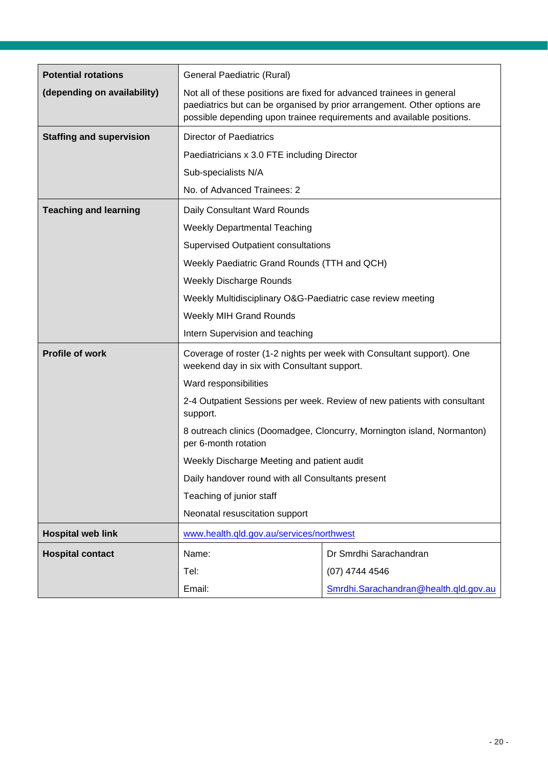| <b>Potential rotations</b>      | General Paediatric (Rural)                                                                                                                                                              |                                                                                                                                                   |  |
|---------------------------------|-----------------------------------------------------------------------------------------------------------------------------------------------------------------------------------------|---------------------------------------------------------------------------------------------------------------------------------------------------|--|
| (depending on availability)     | Not all of these positions are fixed for advanced trainees in general                                                                                                                   | paediatrics but can be organised by prior arrangement. Other options are<br>possible depending upon trainee requirements and available positions. |  |
| <b>Staffing and supervision</b> | <b>Director of Paediatrics</b>                                                                                                                                                          |                                                                                                                                                   |  |
|                                 | Paediatricians x 3.0 FTE including Director                                                                                                                                             |                                                                                                                                                   |  |
|                                 | Sub-specialists N/A                                                                                                                                                                     |                                                                                                                                                   |  |
|                                 | No. of Advanced Trainees: 2                                                                                                                                                             |                                                                                                                                                   |  |
| <b>Teaching and learning</b>    | Daily Consultant Ward Rounds                                                                                                                                                            |                                                                                                                                                   |  |
|                                 | <b>Weekly Departmental Teaching</b>                                                                                                                                                     |                                                                                                                                                   |  |
|                                 | <b>Supervised Outpatient consultations</b>                                                                                                                                              |                                                                                                                                                   |  |
|                                 | Weekly Paediatric Grand Rounds (TTH and QCH)                                                                                                                                            |                                                                                                                                                   |  |
|                                 | <b>Weekly Discharge Rounds</b>                                                                                                                                                          |                                                                                                                                                   |  |
|                                 | Weekly Multidisciplinary O&G-Paediatric case review meeting                                                                                                                             |                                                                                                                                                   |  |
|                                 | <b>Weekly MIH Grand Rounds</b>                                                                                                                                                          |                                                                                                                                                   |  |
|                                 | Intern Supervision and teaching                                                                                                                                                         |                                                                                                                                                   |  |
| <b>Profile of work</b>          | weekend day in six with Consultant support.                                                                                                                                             | Coverage of roster (1-2 nights per week with Consultant support). One                                                                             |  |
|                                 | Ward responsibilities                                                                                                                                                                   |                                                                                                                                                   |  |
|                                 | 2-4 Outpatient Sessions per week. Review of new patients with consultant<br>support.<br>8 outreach clinics (Doomadgee, Cloncurry, Mornington island, Normanton)<br>per 6-month rotation |                                                                                                                                                   |  |
|                                 |                                                                                                                                                                                         |                                                                                                                                                   |  |
|                                 | Weekly Discharge Meeting and patient audit                                                                                                                                              |                                                                                                                                                   |  |
|                                 | Daily handover round with all Consultants present                                                                                                                                       |                                                                                                                                                   |  |
|                                 | Teaching of junior staff                                                                                                                                                                |                                                                                                                                                   |  |
|                                 | Neonatal resuscitation support                                                                                                                                                          |                                                                                                                                                   |  |
| <b>Hospital web link</b>        | www.health.qld.gov.au/services/northwest                                                                                                                                                |                                                                                                                                                   |  |
| <b>Hospital contact</b>         | Name:                                                                                                                                                                                   | Dr Smrdhi Sarachandran                                                                                                                            |  |
|                                 | Tel:                                                                                                                                                                                    | $(07)$ 4744 4546                                                                                                                                  |  |
|                                 | Email:                                                                                                                                                                                  | Smrdhi.Sarachandran@health.qld.gov.au                                                                                                             |  |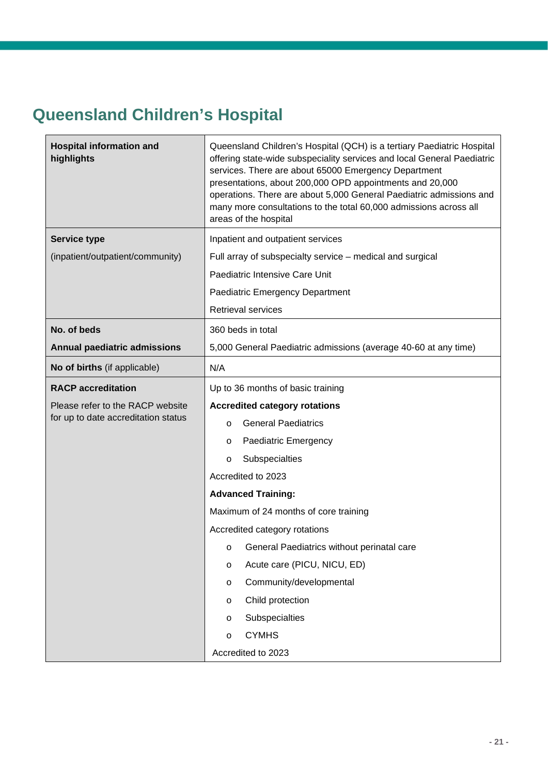#### <span id="page-20-0"></span>**Queensland Children's Hospital**

| <b>Hospital information and</b><br>highlights | Queensland Children's Hospital (QCH) is a tertiary Paediatric Hospital<br>offering state-wide subspeciality services and local General Paediatric<br>services. There are about 65000 Emergency Department<br>presentations, about 200,000 OPD appointments and 20,000<br>operations. There are about 5,000 General Paediatric admissions and<br>many more consultations to the total 60,000 admissions across all<br>areas of the hospital |  |  |
|-----------------------------------------------|--------------------------------------------------------------------------------------------------------------------------------------------------------------------------------------------------------------------------------------------------------------------------------------------------------------------------------------------------------------------------------------------------------------------------------------------|--|--|
| <b>Service type</b>                           | Inpatient and outpatient services                                                                                                                                                                                                                                                                                                                                                                                                          |  |  |
| (inpatient/outpatient/community)              | Full array of subspecialty service - medical and surgical                                                                                                                                                                                                                                                                                                                                                                                  |  |  |
|                                               | Paediatric Intensive Care Unit                                                                                                                                                                                                                                                                                                                                                                                                             |  |  |
|                                               | Paediatric Emergency Department                                                                                                                                                                                                                                                                                                                                                                                                            |  |  |
|                                               | Retrieval services                                                                                                                                                                                                                                                                                                                                                                                                                         |  |  |
| No. of beds                                   | 360 beds in total                                                                                                                                                                                                                                                                                                                                                                                                                          |  |  |
| Annual paediatric admissions                  | 5,000 General Paediatric admissions (average 40-60 at any time)                                                                                                                                                                                                                                                                                                                                                                            |  |  |
| No of births (if applicable)                  | N/A                                                                                                                                                                                                                                                                                                                                                                                                                                        |  |  |
| <b>RACP</b> accreditation                     | Up to 36 months of basic training                                                                                                                                                                                                                                                                                                                                                                                                          |  |  |
| Please refer to the RACP website              | <b>Accredited category rotations</b>                                                                                                                                                                                                                                                                                                                                                                                                       |  |  |
| for up to date accreditation status           | <b>General Paediatrics</b><br>$\circ$                                                                                                                                                                                                                                                                                                                                                                                                      |  |  |
|                                               | Paediatric Emergency<br>O                                                                                                                                                                                                                                                                                                                                                                                                                  |  |  |
|                                               | Subspecialties<br>$\circ$                                                                                                                                                                                                                                                                                                                                                                                                                  |  |  |
|                                               | Accredited to 2023                                                                                                                                                                                                                                                                                                                                                                                                                         |  |  |
|                                               | <b>Advanced Training:</b>                                                                                                                                                                                                                                                                                                                                                                                                                  |  |  |
|                                               | Maximum of 24 months of core training                                                                                                                                                                                                                                                                                                                                                                                                      |  |  |
|                                               | Accredited category rotations                                                                                                                                                                                                                                                                                                                                                                                                              |  |  |
|                                               | o General Paediatrics without perinatal care                                                                                                                                                                                                                                                                                                                                                                                               |  |  |
|                                               | Acute care (PICU, NICU, ED)<br>$\circ$                                                                                                                                                                                                                                                                                                                                                                                                     |  |  |
|                                               | Community/developmental<br>$\circ$                                                                                                                                                                                                                                                                                                                                                                                                         |  |  |
|                                               | Child protection<br>$\circ$                                                                                                                                                                                                                                                                                                                                                                                                                |  |  |
|                                               | Subspecialties<br>$\circ$                                                                                                                                                                                                                                                                                                                                                                                                                  |  |  |
|                                               | <b>CYMHS</b><br>O                                                                                                                                                                                                                                                                                                                                                                                                                          |  |  |
|                                               | Accredited to 2023                                                                                                                                                                                                                                                                                                                                                                                                                         |  |  |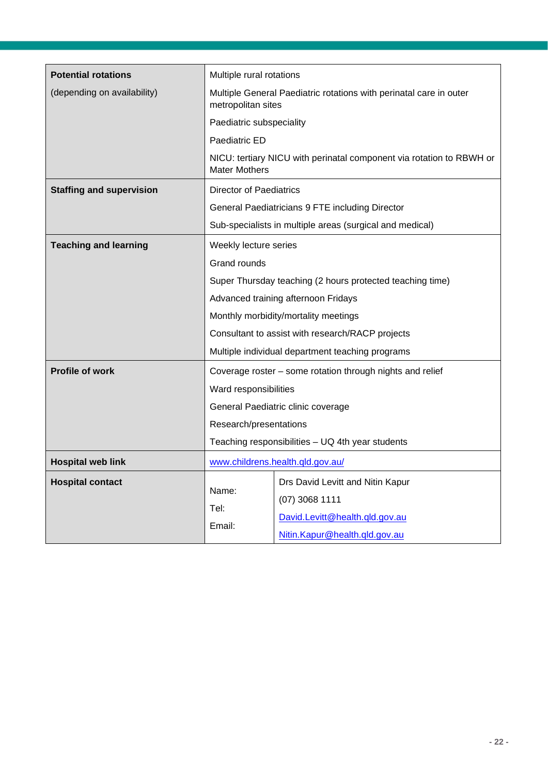| <b>Potential rotations</b>      | Multiple rural rotations                                                                 |                                                                                                                         |
|---------------------------------|------------------------------------------------------------------------------------------|-------------------------------------------------------------------------------------------------------------------------|
| (depending on availability)     | Multiple General Paediatric rotations with perinatal care in outer<br>metropolitan sites |                                                                                                                         |
|                                 | Paediatric subspeciality                                                                 |                                                                                                                         |
|                                 | Paediatric ED                                                                            |                                                                                                                         |
|                                 | <b>Mater Mothers</b>                                                                     | NICU: tertiary NICU with perinatal component via rotation to RBWH or                                                    |
| <b>Staffing and supervision</b> | <b>Director of Paediatrics</b>                                                           |                                                                                                                         |
|                                 |                                                                                          | General Paediatricians 9 FTE including Director                                                                         |
|                                 |                                                                                          | Sub-specialists in multiple areas (surgical and medical)                                                                |
| <b>Teaching and learning</b>    | Weekly lecture series                                                                    |                                                                                                                         |
|                                 | Grand rounds                                                                             |                                                                                                                         |
|                                 | Super Thursday teaching (2 hours protected teaching time)                                |                                                                                                                         |
|                                 |                                                                                          | Advanced training afternoon Fridays                                                                                     |
|                                 |                                                                                          | Monthly morbidity/mortality meetings                                                                                    |
|                                 |                                                                                          | Consultant to assist with research/RACP projects                                                                        |
|                                 | Multiple individual department teaching programs                                         |                                                                                                                         |
| <b>Profile of work</b>          | Coverage roster - some rotation through nights and relief                                |                                                                                                                         |
|                                 | Ward responsibilities                                                                    |                                                                                                                         |
|                                 |                                                                                          | General Paediatric clinic coverage                                                                                      |
|                                 | Research/presentations                                                                   |                                                                                                                         |
|                                 | Teaching responsibilities - UQ 4th year students                                         |                                                                                                                         |
| <b>Hospital web link</b>        |                                                                                          | www.childrens.health.qld.gov.au/                                                                                        |
| <b>Hospital contact</b>         | Name:<br>Tel:<br>Email:                                                                  | Drs David Levitt and Nitin Kapur<br>$(07)$ 3068 1111<br>David.Levitt@health.qld.gov.au<br>Nitin.Kapur@health.qld.gov.au |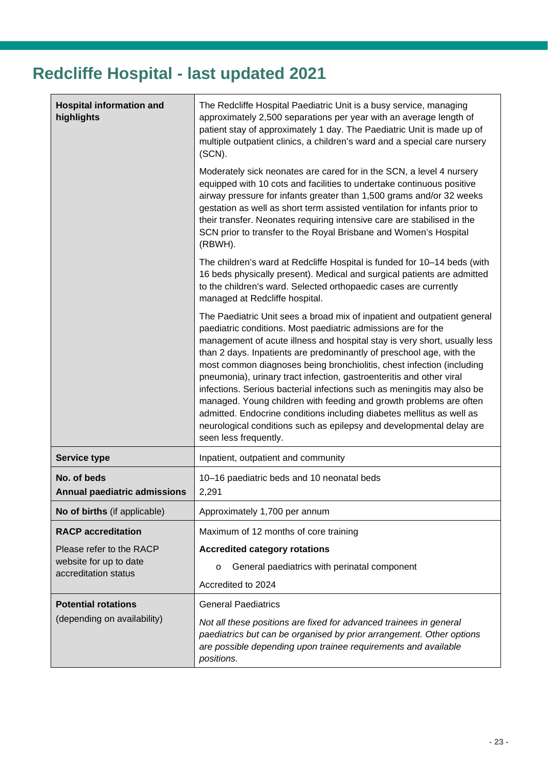## <span id="page-22-0"></span>**Redcliffe Hospital - last updated 2021**

| <b>Hospital information and</b><br>highlights      | The Redcliffe Hospital Paediatric Unit is a busy service, managing<br>approximately 2,500 separations per year with an average length of<br>patient stay of approximately 1 day. The Paediatric Unit is made up of<br>multiple outpatient clinics, a children's ward and a special care nursery<br>(SCN).<br>Moderately sick neonates are cared for in the SCN, a level 4 nursery<br>equipped with 10 cots and facilities to undertake continuous positive<br>airway pressure for infants greater than 1,500 grams and/or 32 weeks<br>gestation as well as short term assisted ventilation for infants prior to<br>their transfer. Neonates requiring intensive care are stabilised in the                                                                                 |  |
|----------------------------------------------------|----------------------------------------------------------------------------------------------------------------------------------------------------------------------------------------------------------------------------------------------------------------------------------------------------------------------------------------------------------------------------------------------------------------------------------------------------------------------------------------------------------------------------------------------------------------------------------------------------------------------------------------------------------------------------------------------------------------------------------------------------------------------------|--|
|                                                    | SCN prior to transfer to the Royal Brisbane and Women's Hospital<br>(RBWH).                                                                                                                                                                                                                                                                                                                                                                                                                                                                                                                                                                                                                                                                                                |  |
|                                                    | The children's ward at Redcliffe Hospital is funded for 10-14 beds (with<br>16 beds physically present). Medical and surgical patients are admitted<br>to the children's ward. Selected orthopaedic cases are currently<br>managed at Redcliffe hospital.                                                                                                                                                                                                                                                                                                                                                                                                                                                                                                                  |  |
|                                                    | The Paediatric Unit sees a broad mix of inpatient and outpatient general<br>paediatric conditions. Most paediatric admissions are for the<br>management of acute illness and hospital stay is very short, usually less<br>than 2 days. Inpatients are predominantly of preschool age, with the<br>most common diagnoses being bronchiolitis, chest infection (including<br>pneumonia), urinary tract infection, gastroenteritis and other viral<br>infections. Serious bacterial infections such as meningitis may also be<br>managed. Young children with feeding and growth problems are often<br>admitted. Endocrine conditions including diabetes mellitus as well as<br>neurological conditions such as epilepsy and developmental delay are<br>seen less frequently. |  |
| <b>Service type</b>                                | Inpatient, outpatient and community                                                                                                                                                                                                                                                                                                                                                                                                                                                                                                                                                                                                                                                                                                                                        |  |
| No. of beds<br><b>Annual paediatric admissions</b> | 10-16 paediatric beds and 10 neonatal beds<br>2,291                                                                                                                                                                                                                                                                                                                                                                                                                                                                                                                                                                                                                                                                                                                        |  |
| No of births (if applicable)                       | Approximately 1,700 per annum                                                                                                                                                                                                                                                                                                                                                                                                                                                                                                                                                                                                                                                                                                                                              |  |
| <b>RACP</b> accreditation                          | Maximum of 12 months of core training                                                                                                                                                                                                                                                                                                                                                                                                                                                                                                                                                                                                                                                                                                                                      |  |
| Please refer to the RACP                           | <b>Accredited category rotations</b>                                                                                                                                                                                                                                                                                                                                                                                                                                                                                                                                                                                                                                                                                                                                       |  |
| website for up to date<br>accreditation status     | General paediatrics with perinatal component<br>$\circ$                                                                                                                                                                                                                                                                                                                                                                                                                                                                                                                                                                                                                                                                                                                    |  |
|                                                    | Accredited to 2024                                                                                                                                                                                                                                                                                                                                                                                                                                                                                                                                                                                                                                                                                                                                                         |  |
| <b>Potential rotations</b>                         | <b>General Paediatrics</b>                                                                                                                                                                                                                                                                                                                                                                                                                                                                                                                                                                                                                                                                                                                                                 |  |
| (depending on availability)                        | Not all these positions are fixed for advanced trainees in general<br>paediatrics but can be organised by prior arrangement. Other options<br>are possible depending upon trainee requirements and available<br>positions.                                                                                                                                                                                                                                                                                                                                                                                                                                                                                                                                                 |  |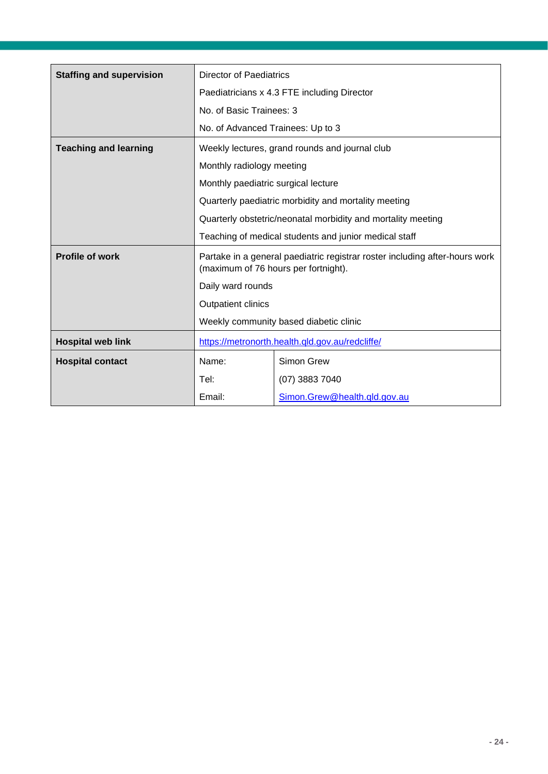| <b>Staffing and supervision</b> | <b>Director of Paediatrics</b>                                                                                      |                                                      |  |
|---------------------------------|---------------------------------------------------------------------------------------------------------------------|------------------------------------------------------|--|
|                                 | Paediatricians x 4.3 FTE including Director                                                                         |                                                      |  |
|                                 | No. of Basic Trainees: 3                                                                                            |                                                      |  |
|                                 | No. of Advanced Trainees: Up to 3                                                                                   |                                                      |  |
| <b>Teaching and learning</b>    | Weekly lectures, grand rounds and journal club                                                                      |                                                      |  |
|                                 | Monthly radiology meeting                                                                                           |                                                      |  |
|                                 | Monthly paediatric surgical lecture                                                                                 |                                                      |  |
|                                 |                                                                                                                     | Quarterly paediatric morbidity and mortality meeting |  |
|                                 | Quarterly obstetric/neonatal morbidity and mortality meeting                                                        |                                                      |  |
|                                 | Teaching of medical students and junior medical staff                                                               |                                                      |  |
| <b>Profile of work</b>          | Partake in a general paediatric registrar roster including after-hours work<br>(maximum of 76 hours per fortnight). |                                                      |  |
|                                 | Daily ward rounds                                                                                                   |                                                      |  |
|                                 | <b>Outpatient clinics</b>                                                                                           |                                                      |  |
|                                 | Weekly community based diabetic clinic                                                                              |                                                      |  |
| <b>Hospital web link</b>        | https://metronorth.health.qld.gov.au/redcliffe/                                                                     |                                                      |  |
| <b>Hospital contact</b>         | Name:                                                                                                               | Simon Grew                                           |  |
|                                 | Tel:                                                                                                                | (07) 3883 7040                                       |  |
|                                 | Email:                                                                                                              | Simon.Grew@health.qld.gov.au                         |  |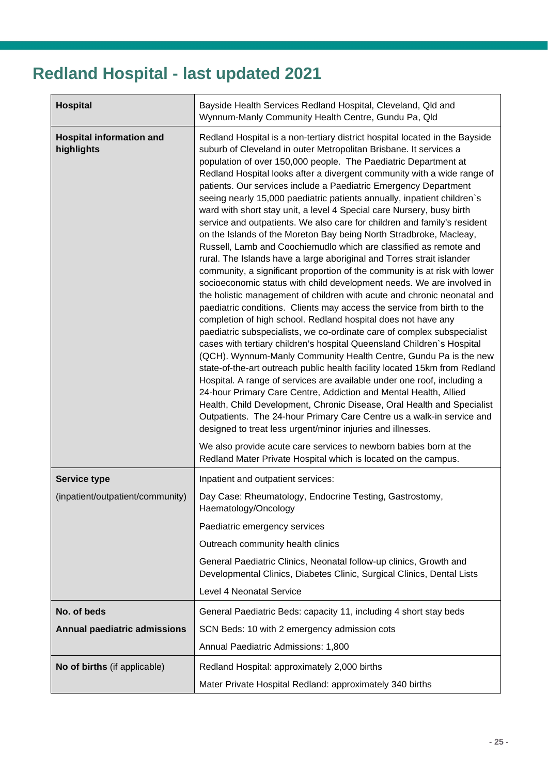## <span id="page-24-0"></span>**Redland Hospital - last updated 2021**

| <b>Hospital</b>                               | Bayside Health Services Redland Hospital, Cleveland, Qld and<br>Wynnum-Manly Community Health Centre, Gundu Pa, Qld                                                                                                                                                                                                                                                                                                                                                                                                                                                                                                                                                                                                                                                                                                                                                                                                                                                                                                                                                                                                                                                                                                                                                                                                                                                                                                                                                                                                                                                                                                                                                                                                                                                                                                                                                                                                                               |  |  |
|-----------------------------------------------|---------------------------------------------------------------------------------------------------------------------------------------------------------------------------------------------------------------------------------------------------------------------------------------------------------------------------------------------------------------------------------------------------------------------------------------------------------------------------------------------------------------------------------------------------------------------------------------------------------------------------------------------------------------------------------------------------------------------------------------------------------------------------------------------------------------------------------------------------------------------------------------------------------------------------------------------------------------------------------------------------------------------------------------------------------------------------------------------------------------------------------------------------------------------------------------------------------------------------------------------------------------------------------------------------------------------------------------------------------------------------------------------------------------------------------------------------------------------------------------------------------------------------------------------------------------------------------------------------------------------------------------------------------------------------------------------------------------------------------------------------------------------------------------------------------------------------------------------------------------------------------------------------------------------------------------------------|--|--|
| <b>Hospital information and</b><br>highlights | Redland Hospital is a non-tertiary district hospital located in the Bayside<br>suburb of Cleveland in outer Metropolitan Brisbane. It services a<br>population of over 150,000 people. The Paediatric Department at<br>Redland Hospital looks after a divergent community with a wide range of<br>patients. Our services include a Paediatric Emergency Department<br>seeing nearly 15,000 paediatric patients annually, inpatient children's<br>ward with short stay unit, a level 4 Special care Nursery, busy birth<br>service and outpatients. We also care for children and family's resident<br>on the Islands of the Moreton Bay being North Stradbroke, Macleay,<br>Russell, Lamb and Coochiemudlo which are classified as remote and<br>rural. The Islands have a large aboriginal and Torres strait islander<br>community, a significant proportion of the community is at risk with lower<br>socioeconomic status with child development needs. We are involved in<br>the holistic management of children with acute and chronic neonatal and<br>paediatric conditions. Clients may access the service from birth to the<br>completion of high school. Redland hospital does not have any<br>paediatric subspecialists, we co-ordinate care of complex subspecialist<br>cases with tertiary children's hospital Queensland Children's Hospital<br>(QCH). Wynnum-Manly Community Health Centre, Gundu Pa is the new<br>state-of-the-art outreach public health facility located 15km from Redland<br>Hospital. A range of services are available under one roof, including a<br>24-hour Primary Care Centre, Addiction and Mental Health, Allied<br>Health, Child Development, Chronic Disease, Oral Health and Specialist<br>Outpatients. The 24-hour Primary Care Centre us a walk-in service and<br>designed to treat less urgent/minor injuries and illnesses.<br>We also provide acute care services to newborn babies born at the |  |  |
| <b>Service type</b>                           | Inpatient and outpatient services:                                                                                                                                                                                                                                                                                                                                                                                                                                                                                                                                                                                                                                                                                                                                                                                                                                                                                                                                                                                                                                                                                                                                                                                                                                                                                                                                                                                                                                                                                                                                                                                                                                                                                                                                                                                                                                                                                                                |  |  |
| (inpatient/outpatient/community)              | Day Case: Rheumatology, Endocrine Testing, Gastrostomy,<br>Haematology/Oncology                                                                                                                                                                                                                                                                                                                                                                                                                                                                                                                                                                                                                                                                                                                                                                                                                                                                                                                                                                                                                                                                                                                                                                                                                                                                                                                                                                                                                                                                                                                                                                                                                                                                                                                                                                                                                                                                   |  |  |
|                                               | Paediatric emergency services                                                                                                                                                                                                                                                                                                                                                                                                                                                                                                                                                                                                                                                                                                                                                                                                                                                                                                                                                                                                                                                                                                                                                                                                                                                                                                                                                                                                                                                                                                                                                                                                                                                                                                                                                                                                                                                                                                                     |  |  |
|                                               | Outreach community health clinics                                                                                                                                                                                                                                                                                                                                                                                                                                                                                                                                                                                                                                                                                                                                                                                                                                                                                                                                                                                                                                                                                                                                                                                                                                                                                                                                                                                                                                                                                                                                                                                                                                                                                                                                                                                                                                                                                                                 |  |  |
|                                               | General Paediatric Clinics, Neonatal follow-up clinics, Growth and<br>Developmental Clinics, Diabetes Clinic, Surgical Clinics, Dental Lists                                                                                                                                                                                                                                                                                                                                                                                                                                                                                                                                                                                                                                                                                                                                                                                                                                                                                                                                                                                                                                                                                                                                                                                                                                                                                                                                                                                                                                                                                                                                                                                                                                                                                                                                                                                                      |  |  |
|                                               | <b>Level 4 Neonatal Service</b>                                                                                                                                                                                                                                                                                                                                                                                                                                                                                                                                                                                                                                                                                                                                                                                                                                                                                                                                                                                                                                                                                                                                                                                                                                                                                                                                                                                                                                                                                                                                                                                                                                                                                                                                                                                                                                                                                                                   |  |  |
| No. of beds                                   | General Paediatric Beds: capacity 11, including 4 short stay beds                                                                                                                                                                                                                                                                                                                                                                                                                                                                                                                                                                                                                                                                                                                                                                                                                                                                                                                                                                                                                                                                                                                                                                                                                                                                                                                                                                                                                                                                                                                                                                                                                                                                                                                                                                                                                                                                                 |  |  |
| <b>Annual paediatric admissions</b>           | SCN Beds: 10 with 2 emergency admission cots                                                                                                                                                                                                                                                                                                                                                                                                                                                                                                                                                                                                                                                                                                                                                                                                                                                                                                                                                                                                                                                                                                                                                                                                                                                                                                                                                                                                                                                                                                                                                                                                                                                                                                                                                                                                                                                                                                      |  |  |
|                                               | Annual Paediatric Admissions: 1,800                                                                                                                                                                                                                                                                                                                                                                                                                                                                                                                                                                                                                                                                                                                                                                                                                                                                                                                                                                                                                                                                                                                                                                                                                                                                                                                                                                                                                                                                                                                                                                                                                                                                                                                                                                                                                                                                                                               |  |  |
| No of births (if applicable)                  | Redland Hospital: approximately 2,000 births                                                                                                                                                                                                                                                                                                                                                                                                                                                                                                                                                                                                                                                                                                                                                                                                                                                                                                                                                                                                                                                                                                                                                                                                                                                                                                                                                                                                                                                                                                                                                                                                                                                                                                                                                                                                                                                                                                      |  |  |
|                                               | Mater Private Hospital Redland: approximately 340 births                                                                                                                                                                                                                                                                                                                                                                                                                                                                                                                                                                                                                                                                                                                                                                                                                                                                                                                                                                                                                                                                                                                                                                                                                                                                                                                                                                                                                                                                                                                                                                                                                                                                                                                                                                                                                                                                                          |  |  |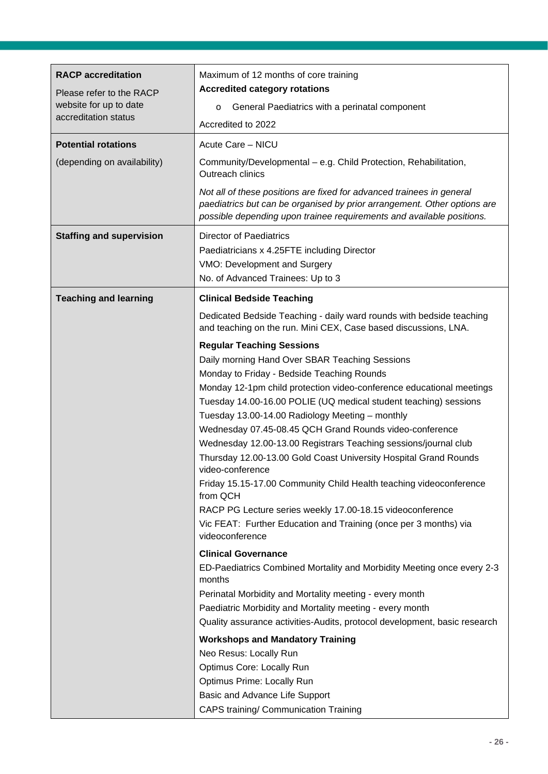| <b>RACP</b> accreditation<br>Please refer to the RACP<br>website for up to date<br>accreditation status<br><b>Potential rotations</b><br>(depending on availability) | Maximum of 12 months of core training<br><b>Accredited category rotations</b><br>General Paediatrics with a perinatal component<br>$\circ$<br>Accredited to 2022<br>Acute Care - NICU<br>Community/Developmental - e.g. Child Protection, Rehabilitation,<br>Outreach clinics<br>Not all of these positions are fixed for advanced trainees in general<br>paediatrics but can be organised by prior arrangement. Other options are                                                                                                                                                                                                                                                                                                                                                                                                                                                                                                                                         |
|----------------------------------------------------------------------------------------------------------------------------------------------------------------------|----------------------------------------------------------------------------------------------------------------------------------------------------------------------------------------------------------------------------------------------------------------------------------------------------------------------------------------------------------------------------------------------------------------------------------------------------------------------------------------------------------------------------------------------------------------------------------------------------------------------------------------------------------------------------------------------------------------------------------------------------------------------------------------------------------------------------------------------------------------------------------------------------------------------------------------------------------------------------|
| <b>Staffing and supervision</b>                                                                                                                                      | possible depending upon trainee requirements and available positions.<br><b>Director of Paediatrics</b><br>Paediatricians x 4.25FTE including Director<br>VMO: Development and Surgery<br>No. of Advanced Trainees: Up to 3                                                                                                                                                                                                                                                                                                                                                                                                                                                                                                                                                                                                                                                                                                                                                |
| <b>Teaching and learning</b>                                                                                                                                         | <b>Clinical Bedside Teaching</b><br>Dedicated Bedside Teaching - daily ward rounds with bedside teaching<br>and teaching on the run. Mini CEX, Case based discussions, LNA.<br><b>Regular Teaching Sessions</b><br>Daily morning Hand Over SBAR Teaching Sessions<br>Monday to Friday - Bedside Teaching Rounds<br>Monday 12-1pm child protection video-conference educational meetings<br>Tuesday 14.00-16.00 POLIE (UQ medical student teaching) sessions<br>Tuesday 13.00-14.00 Radiology Meeting - monthly<br>Wednesday 07.45-08.45 QCH Grand Rounds video-conference<br>Wednesday 12.00-13.00 Registrars Teaching sessions/journal club<br>Thursday 12.00-13.00 Gold Coast University Hospital Grand Rounds<br>video-conference<br>Friday 15.15-17.00 Community Child Health teaching videoconference<br>from QCH<br>RACP PG Lecture series weekly 17.00-18.15 videoconference<br>Vic FEAT: Further Education and Training (once per 3 months) via<br>videoconference |
|                                                                                                                                                                      | <b>Clinical Governance</b><br>ED-Paediatrics Combined Mortality and Morbidity Meeting once every 2-3<br>months<br>Perinatal Morbidity and Mortality meeting - every month<br>Paediatric Morbidity and Mortality meeting - every month<br>Quality assurance activities-Audits, protocol development, basic research<br><b>Workshops and Mandatory Training</b><br>Neo Resus: Locally Run<br>Optimus Core: Locally Run<br>Optimus Prime: Locally Run<br>Basic and Advance Life Support<br><b>CAPS training/ Communication Training</b>                                                                                                                                                                                                                                                                                                                                                                                                                                       |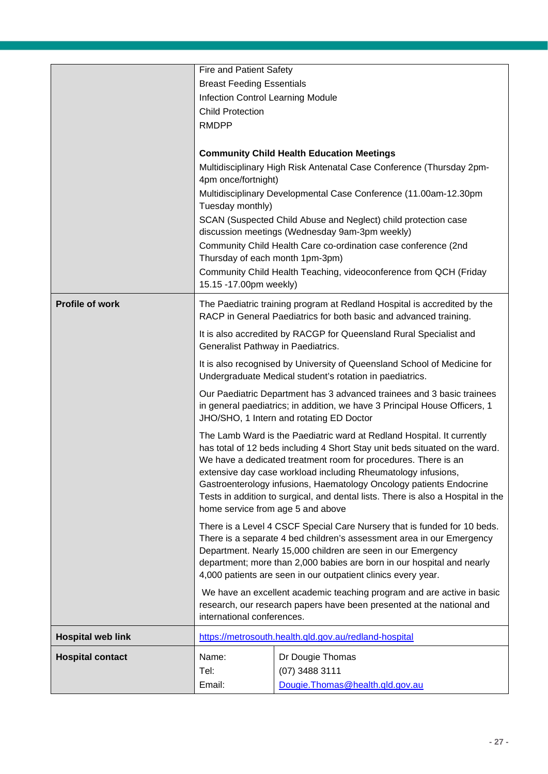|                          | <b>Fire and Patient Safety</b>                                                                                                  |                                                                             |  |
|--------------------------|---------------------------------------------------------------------------------------------------------------------------------|-----------------------------------------------------------------------------|--|
|                          | <b>Breast Feeding Essentials</b>                                                                                                |                                                                             |  |
|                          | <b>Infection Control Learning Module</b>                                                                                        |                                                                             |  |
|                          | <b>Child Protection</b>                                                                                                         |                                                                             |  |
|                          | <b>RMDPP</b>                                                                                                                    |                                                                             |  |
|                          |                                                                                                                                 |                                                                             |  |
|                          |                                                                                                                                 | <b>Community Child Health Education Meetings</b>                            |  |
|                          |                                                                                                                                 | Multidisciplinary High Risk Antenatal Case Conference (Thursday 2pm-        |  |
|                          | 4pm once/fortnight)                                                                                                             |                                                                             |  |
|                          |                                                                                                                                 | Multidisciplinary Developmental Case Conference (11.00am-12.30pm            |  |
|                          | Tuesday monthly)                                                                                                                |                                                                             |  |
|                          |                                                                                                                                 | SCAN (Suspected Child Abuse and Neglect) child protection case              |  |
|                          |                                                                                                                                 | discussion meetings (Wednesday 9am-3pm weekly)                              |  |
|                          |                                                                                                                                 | Community Child Health Care co-ordination case conference (2nd              |  |
|                          | Thursday of each month 1pm-3pm)                                                                                                 |                                                                             |  |
|                          | 15.15 -17.00pm weekly)                                                                                                          | Community Child Health Teaching, videoconference from QCH (Friday           |  |
|                          |                                                                                                                                 |                                                                             |  |
| <b>Profile of work</b>   |                                                                                                                                 | The Paediatric training program at Redland Hospital is accredited by the    |  |
|                          |                                                                                                                                 | RACP in General Paediatrics for both basic and advanced training.           |  |
|                          |                                                                                                                                 | It is also accredited by RACGP for Queensland Rural Specialist and          |  |
|                          | Generalist Pathway in Paediatrics.                                                                                              |                                                                             |  |
|                          | It is also recognised by University of Queensland School of Medicine for                                                        |                                                                             |  |
|                          | Undergraduate Medical student's rotation in paediatrics.                                                                        |                                                                             |  |
|                          |                                                                                                                                 | Our Paediatric Department has 3 advanced trainees and 3 basic trainees      |  |
|                          |                                                                                                                                 | in general paediatrics; in addition, we have 3 Principal House Officers, 1  |  |
|                          |                                                                                                                                 | JHO/SHO, 1 Intern and rotating ED Doctor                                    |  |
|                          |                                                                                                                                 | The Lamb Ward is the Paediatric ward at Redland Hospital. It currently      |  |
|                          |                                                                                                                                 | has total of 12 beds including 4 Short Stay unit beds situated on the ward. |  |
|                          | We have a dedicated treatment room for procedures. There is an<br>extensive day case workload including Rheumatology infusions, |                                                                             |  |
|                          |                                                                                                                                 | Gastroenterology infusions, Haematology Oncology patients Endocrine         |  |
|                          | Tests in addition to surgical, and dental lists. There is also a Hospital in the                                                |                                                                             |  |
|                          | home service from age 5 and above                                                                                               |                                                                             |  |
|                          | There is a Level 4 CSCF Special Care Nursery that is funded for 10 beds.                                                        |                                                                             |  |
|                          | There is a separate 4 bed children's assessment area in our Emergency                                                           |                                                                             |  |
|                          |                                                                                                                                 | Department. Nearly 15,000 children are seen in our Emergency                |  |
|                          |                                                                                                                                 | department; more than 2,000 babies are born in our hospital and nearly      |  |
|                          |                                                                                                                                 | 4,000 patients are seen in our outpatient clinics every year.               |  |
|                          |                                                                                                                                 | We have an excellent academic teaching program and are active in basic      |  |
|                          |                                                                                                                                 | research, our research papers have been presented at the national and       |  |
|                          | international conferences.                                                                                                      |                                                                             |  |
| <b>Hospital web link</b> |                                                                                                                                 | https://metrosouth.health.qld.gov.au/redland-hospital                       |  |
| <b>Hospital contact</b>  | Name:                                                                                                                           | Dr Dougie Thomas                                                            |  |
|                          | Tel:                                                                                                                            | (07) 3488 3111                                                              |  |
|                          | Email:                                                                                                                          | Dougie. Thomas @health.gld.gov.au                                           |  |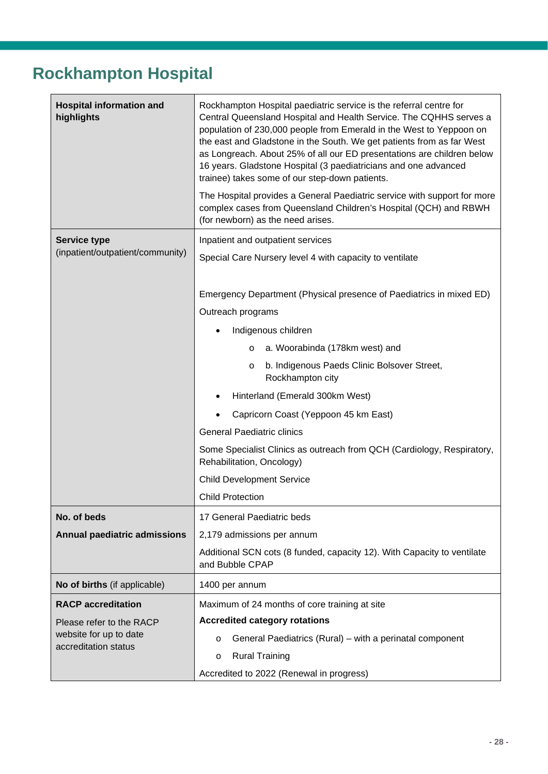#### <span id="page-27-0"></span>**Rockhampton Hospital**

| <b>Hospital information and</b><br>highlights  | Rockhampton Hospital paediatric service is the referral centre for<br>Central Queensland Hospital and Health Service. The CQHHS serves a<br>population of 230,000 people from Emerald in the West to Yeppoon on<br>the east and Gladstone in the South. We get patients from as far West<br>as Longreach. About 25% of all our ED presentations are children below<br>16 years. Gladstone Hospital (3 paediatricians and one advanced<br>trainee) takes some of our step-down patients.<br>The Hospital provides a General Paediatric service with support for more<br>complex cases from Queensland Children's Hospital (QCH) and RBWH |  |  |
|------------------------------------------------|-----------------------------------------------------------------------------------------------------------------------------------------------------------------------------------------------------------------------------------------------------------------------------------------------------------------------------------------------------------------------------------------------------------------------------------------------------------------------------------------------------------------------------------------------------------------------------------------------------------------------------------------|--|--|
|                                                | (for newborn) as the need arises.                                                                                                                                                                                                                                                                                                                                                                                                                                                                                                                                                                                                       |  |  |
| <b>Service type</b>                            | Inpatient and outpatient services                                                                                                                                                                                                                                                                                                                                                                                                                                                                                                                                                                                                       |  |  |
| (inpatient/outpatient/community)               | Special Care Nursery level 4 with capacity to ventilate                                                                                                                                                                                                                                                                                                                                                                                                                                                                                                                                                                                 |  |  |
|                                                | Emergency Department (Physical presence of Paediatrics in mixed ED)                                                                                                                                                                                                                                                                                                                                                                                                                                                                                                                                                                     |  |  |
|                                                | Outreach programs                                                                                                                                                                                                                                                                                                                                                                                                                                                                                                                                                                                                                       |  |  |
|                                                | Indigenous children                                                                                                                                                                                                                                                                                                                                                                                                                                                                                                                                                                                                                     |  |  |
|                                                | a. Woorabinda (178km west) and<br>$\circ$                                                                                                                                                                                                                                                                                                                                                                                                                                                                                                                                                                                               |  |  |
|                                                | b. Indigenous Paeds Clinic Bolsover Street,<br>$\circ$<br>Rockhampton city                                                                                                                                                                                                                                                                                                                                                                                                                                                                                                                                                              |  |  |
|                                                | Hinterland (Emerald 300km West)                                                                                                                                                                                                                                                                                                                                                                                                                                                                                                                                                                                                         |  |  |
|                                                | Capricorn Coast (Yeppoon 45 km East)                                                                                                                                                                                                                                                                                                                                                                                                                                                                                                                                                                                                    |  |  |
|                                                | <b>General Paediatric clinics</b>                                                                                                                                                                                                                                                                                                                                                                                                                                                                                                                                                                                                       |  |  |
|                                                | Some Specialist Clinics as outreach from QCH (Cardiology, Respiratory,<br>Rehabilitation, Oncology)                                                                                                                                                                                                                                                                                                                                                                                                                                                                                                                                     |  |  |
|                                                | <b>Child Development Service</b>                                                                                                                                                                                                                                                                                                                                                                                                                                                                                                                                                                                                        |  |  |
|                                                | <b>Child Protection</b>                                                                                                                                                                                                                                                                                                                                                                                                                                                                                                                                                                                                                 |  |  |
| No. of beds                                    | 17 General Paediatric beds                                                                                                                                                                                                                                                                                                                                                                                                                                                                                                                                                                                                              |  |  |
| <b>Annual paediatric admissions</b>            | 2,179 admissions per annum                                                                                                                                                                                                                                                                                                                                                                                                                                                                                                                                                                                                              |  |  |
|                                                | Additional SCN cots (8 funded, capacity 12). With Capacity to ventilate<br>and Bubble CPAP                                                                                                                                                                                                                                                                                                                                                                                                                                                                                                                                              |  |  |
| No of births (if applicable)                   | 1400 per annum                                                                                                                                                                                                                                                                                                                                                                                                                                                                                                                                                                                                                          |  |  |
| <b>RACP</b> accreditation                      | Maximum of 24 months of core training at site                                                                                                                                                                                                                                                                                                                                                                                                                                                                                                                                                                                           |  |  |
| Please refer to the RACP                       | <b>Accredited category rotations</b>                                                                                                                                                                                                                                                                                                                                                                                                                                                                                                                                                                                                    |  |  |
| website for up to date<br>accreditation status | General Paediatrics (Rural) – with a perinatal component<br>$\circ$                                                                                                                                                                                                                                                                                                                                                                                                                                                                                                                                                                     |  |  |
|                                                | <b>Rural Training</b><br>$\circ$                                                                                                                                                                                                                                                                                                                                                                                                                                                                                                                                                                                                        |  |  |
|                                                | Accredited to 2022 (Renewal in progress)                                                                                                                                                                                                                                                                                                                                                                                                                                                                                                                                                                                                |  |  |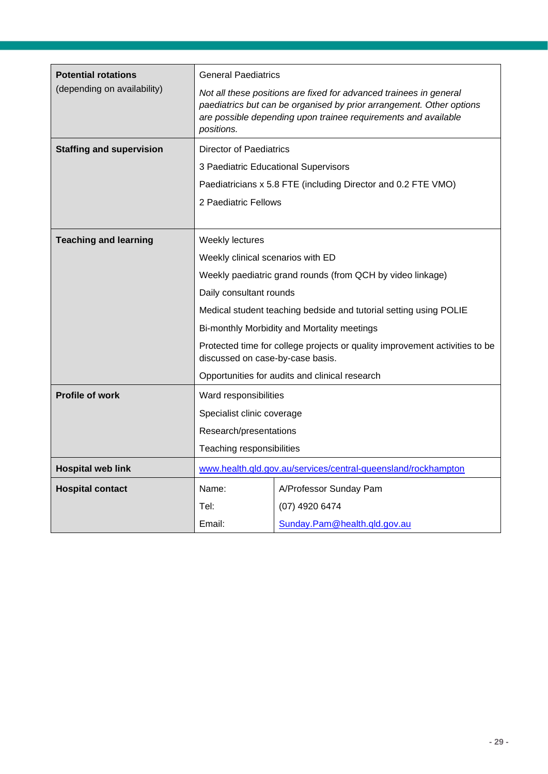| <b>Potential rotations</b>      | <b>General Paediatrics</b>                                                                                                                                                                                                 |                                                                   |  |
|---------------------------------|----------------------------------------------------------------------------------------------------------------------------------------------------------------------------------------------------------------------------|-------------------------------------------------------------------|--|
| (depending on availability)     | Not all these positions are fixed for advanced trainees in general<br>paediatrics but can be organised by prior arrangement. Other options<br>are possible depending upon trainee requirements and available<br>positions. |                                                                   |  |
| <b>Staffing and supervision</b> | <b>Director of Paediatrics</b>                                                                                                                                                                                             |                                                                   |  |
|                                 |                                                                                                                                                                                                                            | 3 Paediatric Educational Supervisors                              |  |
|                                 |                                                                                                                                                                                                                            | Paediatricians x 5.8 FTE (including Director and 0.2 FTE VMO)     |  |
|                                 | 2 Paediatric Fellows                                                                                                                                                                                                       |                                                                   |  |
|                                 |                                                                                                                                                                                                                            |                                                                   |  |
| <b>Teaching and learning</b>    | Weekly lectures                                                                                                                                                                                                            |                                                                   |  |
|                                 | Weekly clinical scenarios with ED                                                                                                                                                                                          |                                                                   |  |
|                                 |                                                                                                                                                                                                                            | Weekly paediatric grand rounds (from QCH by video linkage)        |  |
|                                 | Daily consultant rounds                                                                                                                                                                                                    |                                                                   |  |
|                                 |                                                                                                                                                                                                                            | Medical student teaching bedside and tutorial setting using POLIE |  |
|                                 |                                                                                                                                                                                                                            | Bi-monthly Morbidity and Mortality meetings                       |  |
|                                 | Protected time for college projects or quality improvement activities to be<br>discussed on case-by-case basis.                                                                                                            |                                                                   |  |
|                                 | Opportunities for audits and clinical research                                                                                                                                                                             |                                                                   |  |
| <b>Profile of work</b>          | Ward responsibilities                                                                                                                                                                                                      |                                                                   |  |
|                                 | Specialist clinic coverage                                                                                                                                                                                                 |                                                                   |  |
|                                 | Research/presentations                                                                                                                                                                                                     |                                                                   |  |
|                                 | Teaching responsibilities                                                                                                                                                                                                  |                                                                   |  |
| <b>Hospital web link</b>        |                                                                                                                                                                                                                            | www.health.qld.gov.au/services/central-queensland/rockhampton     |  |
| <b>Hospital contact</b>         | Name:                                                                                                                                                                                                                      | A/Professor Sunday Pam                                            |  |
|                                 | Tel:                                                                                                                                                                                                                       | (07) 4920 6474                                                    |  |
|                                 | Email:                                                                                                                                                                                                                     | Sunday.Pam@health.qld.gov.au                                      |  |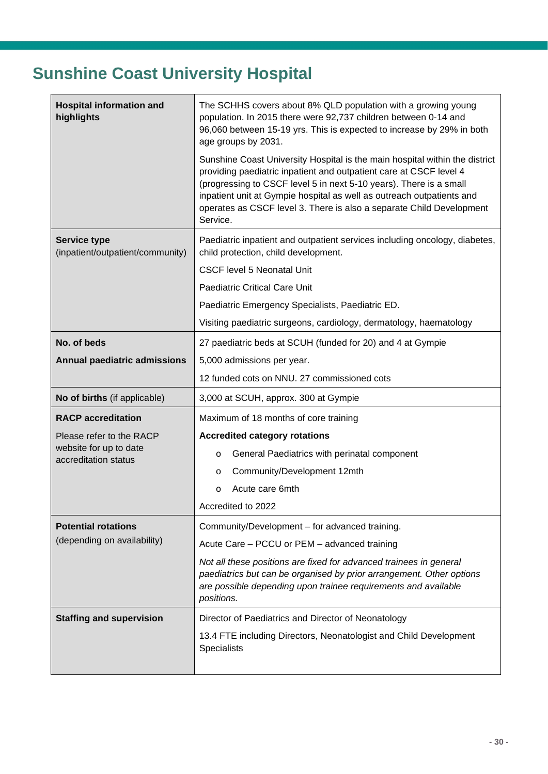## <span id="page-29-0"></span>**Sunshine Coast University Hospital**

| <b>Hospital information and</b><br>highlights           | The SCHHS covers about 8% QLD population with a growing young<br>population. In 2015 there were 92,737 children between 0-14 and<br>96,060 between 15-19 yrs. This is expected to increase by 29% in both<br>age groups by 2031.<br>Sunshine Coast University Hospital is the main hospital within the district |
|---------------------------------------------------------|-----------------------------------------------------------------------------------------------------------------------------------------------------------------------------------------------------------------------------------------------------------------------------------------------------------------|
|                                                         | providing paediatric inpatient and outpatient care at CSCF level 4<br>(progressing to CSCF level 5 in next 5-10 years). There is a small<br>inpatient unit at Gympie hospital as well as outreach outpatients and<br>operates as CSCF level 3. There is also a separate Child Development<br>Service.           |
| <b>Service type</b><br>(inpatient/outpatient/community) | Paediatric inpatient and outpatient services including oncology, diabetes,<br>child protection, child development.                                                                                                                                                                                              |
|                                                         | <b>CSCF level 5 Neonatal Unit</b>                                                                                                                                                                                                                                                                               |
|                                                         | <b>Paediatric Critical Care Unit</b>                                                                                                                                                                                                                                                                            |
|                                                         | Paediatric Emergency Specialists, Paediatric ED.                                                                                                                                                                                                                                                                |
|                                                         | Visiting paediatric surgeons, cardiology, dermatology, haematology                                                                                                                                                                                                                                              |
| No. of beds                                             | 27 paediatric beds at SCUH (funded for 20) and 4 at Gympie                                                                                                                                                                                                                                                      |
| <b>Annual paediatric admissions</b>                     | 5,000 admissions per year.                                                                                                                                                                                                                                                                                      |
|                                                         | 12 funded cots on NNU. 27 commissioned cots                                                                                                                                                                                                                                                                     |
| No of births (if applicable)                            | 3,000 at SCUH, approx. 300 at Gympie                                                                                                                                                                                                                                                                            |
| <b>RACP</b> accreditation                               | Maximum of 18 months of core training                                                                                                                                                                                                                                                                           |
| Please refer to the RACP                                | <b>Accredited category rotations</b>                                                                                                                                                                                                                                                                            |
| website for up to date<br>accreditation status          | General Paediatrics with perinatal component<br>$\circ$                                                                                                                                                                                                                                                         |
|                                                         | Community/Development 12mth<br>O                                                                                                                                                                                                                                                                                |
|                                                         | Acute care 6mth<br>$\circ$                                                                                                                                                                                                                                                                                      |
|                                                         | Accredited to 2022                                                                                                                                                                                                                                                                                              |
| <b>Potential rotations</b>                              | Community/Development - for advanced training.                                                                                                                                                                                                                                                                  |
| (depending on availability)                             | Acute Care - PCCU or PEM - advanced training                                                                                                                                                                                                                                                                    |
|                                                         | Not all these positions are fixed for advanced trainees in general<br>paediatrics but can be organised by prior arrangement. Other options<br>are possible depending upon trainee requirements and available<br>positions.                                                                                      |
| <b>Staffing and supervision</b>                         | Director of Paediatrics and Director of Neonatology                                                                                                                                                                                                                                                             |
|                                                         | 13.4 FTE including Directors, Neonatologist and Child Development<br><b>Specialists</b>                                                                                                                                                                                                                         |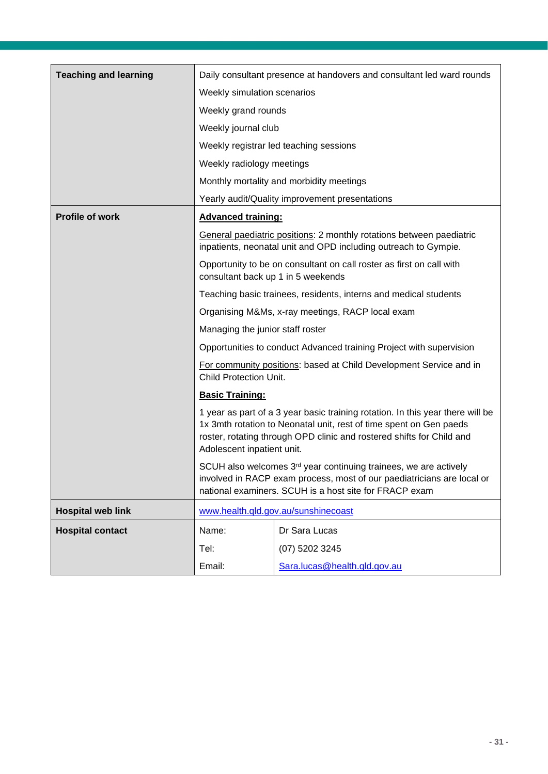| <b>Teaching and learning</b> | Daily consultant presence at handovers and consultant led ward rounds                                                                                                                                                                                                                                                                                                                                                                                                                                                                                                                                     |                                                                                                                                         |  |
|------------------------------|-----------------------------------------------------------------------------------------------------------------------------------------------------------------------------------------------------------------------------------------------------------------------------------------------------------------------------------------------------------------------------------------------------------------------------------------------------------------------------------------------------------------------------------------------------------------------------------------------------------|-----------------------------------------------------------------------------------------------------------------------------------------|--|
|                              | Weekly simulation scenarios                                                                                                                                                                                                                                                                                                                                                                                                                                                                                                                                                                               |                                                                                                                                         |  |
|                              | Weekly grand rounds                                                                                                                                                                                                                                                                                                                                                                                                                                                                                                                                                                                       |                                                                                                                                         |  |
|                              | Weekly journal club                                                                                                                                                                                                                                                                                                                                                                                                                                                                                                                                                                                       |                                                                                                                                         |  |
|                              |                                                                                                                                                                                                                                                                                                                                                                                                                                                                                                                                                                                                           | Weekly registrar led teaching sessions                                                                                                  |  |
|                              | Weekly radiology meetings                                                                                                                                                                                                                                                                                                                                                                                                                                                                                                                                                                                 |                                                                                                                                         |  |
|                              |                                                                                                                                                                                                                                                                                                                                                                                                                                                                                                                                                                                                           | Monthly mortality and morbidity meetings                                                                                                |  |
|                              |                                                                                                                                                                                                                                                                                                                                                                                                                                                                                                                                                                                                           | Yearly audit/Quality improvement presentations                                                                                          |  |
| <b>Profile of work</b>       | <b>Advanced training:</b>                                                                                                                                                                                                                                                                                                                                                                                                                                                                                                                                                                                 |                                                                                                                                         |  |
|                              |                                                                                                                                                                                                                                                                                                                                                                                                                                                                                                                                                                                                           | General paediatric positions: 2 monthly rotations between paediatric<br>inpatients, neonatal unit and OPD including outreach to Gympie. |  |
|                              | consultant back up 1 in 5 weekends                                                                                                                                                                                                                                                                                                                                                                                                                                                                                                                                                                        | Opportunity to be on consultant on call roster as first on call with                                                                    |  |
|                              |                                                                                                                                                                                                                                                                                                                                                                                                                                                                                                                                                                                                           | Teaching basic trainees, residents, interns and medical students                                                                        |  |
|                              | Organising M&Ms, x-ray meetings, RACP local exam                                                                                                                                                                                                                                                                                                                                                                                                                                                                                                                                                          |                                                                                                                                         |  |
|                              | Managing the junior staff roster                                                                                                                                                                                                                                                                                                                                                                                                                                                                                                                                                                          |                                                                                                                                         |  |
|                              | Opportunities to conduct Advanced training Project with supervision                                                                                                                                                                                                                                                                                                                                                                                                                                                                                                                                       |                                                                                                                                         |  |
|                              | For community positions: based at Child Development Service and in<br>Child Protection Unit.<br><b>Basic Training:</b><br>1 year as part of a 3 year basic training rotation. In this year there will be<br>1x 3mth rotation to Neonatal unit, rest of time spent on Gen paeds<br>roster, rotating through OPD clinic and rostered shifts for Child and<br>Adolescent inpatient unit.<br>SCUH also welcomes 3 <sup>rd</sup> year continuing trainees, we are actively<br>involved in RACP exam process, most of our paediatricians are local or<br>national examiners. SCUH is a host site for FRACP exam |                                                                                                                                         |  |
|                              |                                                                                                                                                                                                                                                                                                                                                                                                                                                                                                                                                                                                           |                                                                                                                                         |  |
|                              |                                                                                                                                                                                                                                                                                                                                                                                                                                                                                                                                                                                                           |                                                                                                                                         |  |
|                              |                                                                                                                                                                                                                                                                                                                                                                                                                                                                                                                                                                                                           |                                                                                                                                         |  |
| <b>Hospital web link</b>     |                                                                                                                                                                                                                                                                                                                                                                                                                                                                                                                                                                                                           | www.health.gld.gov.au/sunshinecoast                                                                                                     |  |
| <b>Hospital contact</b>      | Name:                                                                                                                                                                                                                                                                                                                                                                                                                                                                                                                                                                                                     | Dr Sara Lucas                                                                                                                           |  |
|                              | Tel:                                                                                                                                                                                                                                                                                                                                                                                                                                                                                                                                                                                                      | (07) 5202 3245                                                                                                                          |  |
|                              | Email:                                                                                                                                                                                                                                                                                                                                                                                                                                                                                                                                                                                                    | Sara.lucas@health.qld.gov.au                                                                                                            |  |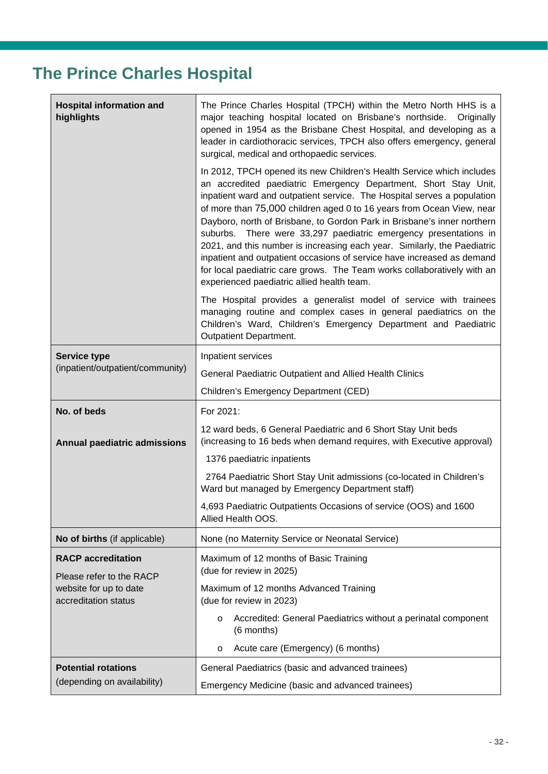## <span id="page-31-0"></span>**The Prince Charles Hospital**

| <b>Hospital information and</b><br>highlights                              | The Prince Charles Hospital (TPCH) within the Metro North HHS is a<br>major teaching hospital located on Brisbane's northside.<br>Originally<br>opened in 1954 as the Brisbane Chest Hospital, and developing as a<br>leader in cardiothoracic services, TPCH also offers emergency, general<br>surgical, medical and orthopaedic services.                                                                                                                                                                                                                                                                                                                                                                                |  |  |
|----------------------------------------------------------------------------|----------------------------------------------------------------------------------------------------------------------------------------------------------------------------------------------------------------------------------------------------------------------------------------------------------------------------------------------------------------------------------------------------------------------------------------------------------------------------------------------------------------------------------------------------------------------------------------------------------------------------------------------------------------------------------------------------------------------------|--|--|
|                                                                            | In 2012, TPCH opened its new Children's Health Service which includes<br>an accredited paediatric Emergency Department, Short Stay Unit,<br>inpatient ward and outpatient service. The Hospital serves a population<br>of more than 75,000 children aged 0 to 16 years from Ocean View, near<br>Dayboro, north of Brisbane, to Gordon Park in Brisbane's inner northern<br>suburbs. There were 33,297 paediatric emergency presentations in<br>2021, and this number is increasing each year. Similarly, the Paediatric<br>inpatient and outpatient occasions of service have increased as demand<br>for local paediatric care grows. The Team works collaboratively with an<br>experienced paediatric allied health team. |  |  |
|                                                                            | The Hospital provides a generalist model of service with trainees<br>managing routine and complex cases in general paediatrics on the<br>Children's Ward, Children's Emergency Department and Paediatric<br><b>Outpatient Department.</b>                                                                                                                                                                                                                                                                                                                                                                                                                                                                                  |  |  |
| <b>Service type</b>                                                        | Inpatient services                                                                                                                                                                                                                                                                                                                                                                                                                                                                                                                                                                                                                                                                                                         |  |  |
| (inpatient/outpatient/community)                                           | General Paediatric Outpatient and Allied Health Clinics                                                                                                                                                                                                                                                                                                                                                                                                                                                                                                                                                                                                                                                                    |  |  |
|                                                                            | Children's Emergency Department (CED)                                                                                                                                                                                                                                                                                                                                                                                                                                                                                                                                                                                                                                                                                      |  |  |
| No. of beds                                                                | For 2021:                                                                                                                                                                                                                                                                                                                                                                                                                                                                                                                                                                                                                                                                                                                  |  |  |
| <b>Annual paediatric admissions</b>                                        | 12 ward beds, 6 General Paediatric and 6 Short Stay Unit beds<br>(increasing to 16 beds when demand requires, with Executive approval)                                                                                                                                                                                                                                                                                                                                                                                                                                                                                                                                                                                     |  |  |
|                                                                            | 1376 paediatric inpatients                                                                                                                                                                                                                                                                                                                                                                                                                                                                                                                                                                                                                                                                                                 |  |  |
|                                                                            | 2764 Paediatric Short Stay Unit admissions (co-located in Children's                                                                                                                                                                                                                                                                                                                                                                                                                                                                                                                                                                                                                                                       |  |  |
|                                                                            | Ward but managed by Emergency Department staff)                                                                                                                                                                                                                                                                                                                                                                                                                                                                                                                                                                                                                                                                            |  |  |
|                                                                            | 4,693 Paediatric Outpatients Occasions of service (OOS) and 1600<br>Allied Health OOS.                                                                                                                                                                                                                                                                                                                                                                                                                                                                                                                                                                                                                                     |  |  |
| No of births (if applicable)                                               | None (no Maternity Service or Neonatal Service)                                                                                                                                                                                                                                                                                                                                                                                                                                                                                                                                                                                                                                                                            |  |  |
| <b>RACP</b> accreditation                                                  | Maximum of 12 months of Basic Training<br>(due for review in 2025)                                                                                                                                                                                                                                                                                                                                                                                                                                                                                                                                                                                                                                                         |  |  |
| Please refer to the RACP<br>website for up to date<br>accreditation status | Maximum of 12 months Advanced Training<br>(due for review in 2023)                                                                                                                                                                                                                                                                                                                                                                                                                                                                                                                                                                                                                                                         |  |  |
|                                                                            | Accredited: General Paediatrics without a perinatal component<br>$\circ$<br>(6 months)                                                                                                                                                                                                                                                                                                                                                                                                                                                                                                                                                                                                                                     |  |  |
|                                                                            | Acute care (Emergency) (6 months)<br>$\circ$                                                                                                                                                                                                                                                                                                                                                                                                                                                                                                                                                                                                                                                                               |  |  |
| <b>Potential rotations</b>                                                 | General Paediatrics (basic and advanced trainees)                                                                                                                                                                                                                                                                                                                                                                                                                                                                                                                                                                                                                                                                          |  |  |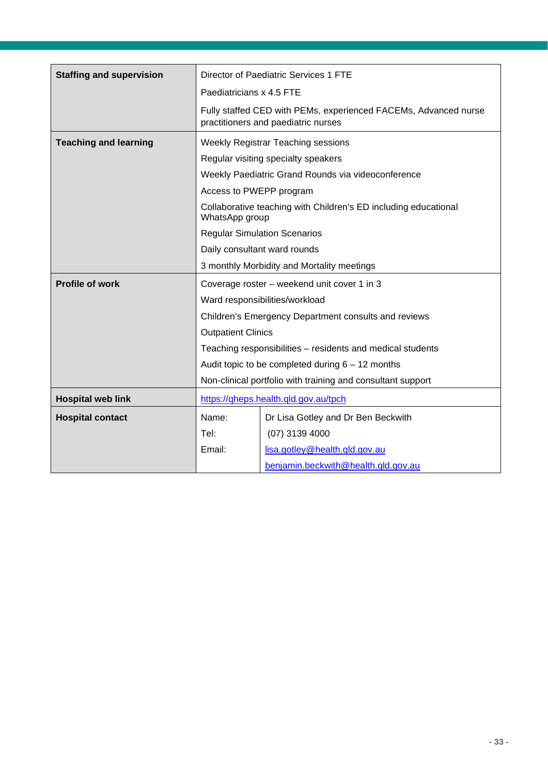| <b>Staffing and supervision</b> | Director of Paediatric Services 1 FTE                       |                                                                                                        |  |
|---------------------------------|-------------------------------------------------------------|--------------------------------------------------------------------------------------------------------|--|
|                                 | Paediatricians x 4.5 FTE                                    |                                                                                                        |  |
|                                 |                                                             | Fully staffed CED with PEMs, experienced FACEMs, Advanced nurse<br>practitioners and paediatric nurses |  |
| <b>Teaching and learning</b>    | Weekly Registrar Teaching sessions                          |                                                                                                        |  |
|                                 |                                                             | Regular visiting specialty speakers                                                                    |  |
|                                 |                                                             | Weekly Paediatric Grand Rounds via videoconference                                                     |  |
|                                 | Access to PWEPP program                                     |                                                                                                        |  |
|                                 | WhatsApp group                                              | Collaborative teaching with Children's ED including educational                                        |  |
|                                 |                                                             | <b>Regular Simulation Scenarios</b>                                                                    |  |
|                                 |                                                             | Daily consultant ward rounds                                                                           |  |
|                                 | 3 monthly Morbidity and Mortality meetings                  |                                                                                                        |  |
| <b>Profile of work</b>          |                                                             | Coverage roster – weekend unit cover 1 in 3                                                            |  |
|                                 |                                                             | Ward responsibilities/workload                                                                         |  |
|                                 |                                                             | Children's Emergency Department consults and reviews                                                   |  |
|                                 | <b>Outpatient Clinics</b>                                   |                                                                                                        |  |
|                                 |                                                             | Teaching responsibilities - residents and medical students                                             |  |
|                                 |                                                             | Audit topic to be completed during $6 - 12$ months                                                     |  |
|                                 | Non-clinical portfolio with training and consultant support |                                                                                                        |  |
| <b>Hospital web link</b>        |                                                             | https://qheps.health.qld.gov.au/tpch                                                                   |  |
| <b>Hospital contact</b>         | Name:                                                       | Dr Lisa Gotley and Dr Ben Beckwith                                                                     |  |
|                                 | Tel:                                                        | $(07)$ 3139 4000                                                                                       |  |
|                                 | Email:                                                      | lisa.gotley@health.gld.gov.au                                                                          |  |
|                                 |                                                             | benjamin.beckwith@health.qld.gov.au                                                                    |  |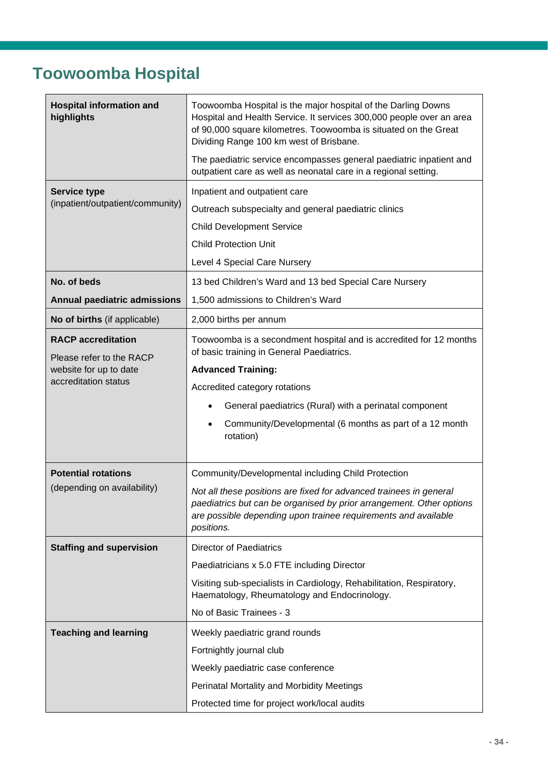#### <span id="page-33-0"></span>**Toowoomba Hospital**

| <b>Hospital information and</b><br>highlights                                   | Toowoomba Hospital is the major hospital of the Darling Downs<br>Hospital and Health Service. It services 300,000 people over an area<br>of 90,000 square kilometres. Toowoomba is situated on the Great<br>Dividing Range 100 km west of Brisbane. |  |  |
|---------------------------------------------------------------------------------|-----------------------------------------------------------------------------------------------------------------------------------------------------------------------------------------------------------------------------------------------------|--|--|
|                                                                                 | The paediatric service encompasses general paediatric inpatient and<br>outpatient care as well as neonatal care in a regional setting.                                                                                                              |  |  |
| <b>Service type</b>                                                             | Inpatient and outpatient care                                                                                                                                                                                                                       |  |  |
| (inpatient/outpatient/community)                                                | Outreach subspecialty and general paediatric clinics                                                                                                                                                                                                |  |  |
|                                                                                 | <b>Child Development Service</b>                                                                                                                                                                                                                    |  |  |
|                                                                                 | <b>Child Protection Unit</b>                                                                                                                                                                                                                        |  |  |
|                                                                                 | Level 4 Special Care Nursery                                                                                                                                                                                                                        |  |  |
| No. of beds                                                                     | 13 bed Children's Ward and 13 bed Special Care Nursery                                                                                                                                                                                              |  |  |
| <b>Annual paediatric admissions</b>                                             | 1,500 admissions to Children's Ward                                                                                                                                                                                                                 |  |  |
| No of births (if applicable)                                                    | 2,000 births per annum                                                                                                                                                                                                                              |  |  |
| <b>RACP</b> accreditation<br>Please refer to the RACP<br>website for up to date | Toowoomba is a secondment hospital and is accredited for 12 months<br>of basic training in General Paediatrics.                                                                                                                                     |  |  |
|                                                                                 | <b>Advanced Training:</b>                                                                                                                                                                                                                           |  |  |
| accreditation status                                                            | Accredited category rotations                                                                                                                                                                                                                       |  |  |
|                                                                                 | General paediatrics (Rural) with a perinatal component                                                                                                                                                                                              |  |  |
|                                                                                 | Community/Developmental (6 months as part of a 12 month<br>rotation)                                                                                                                                                                                |  |  |
| <b>Potential rotations</b>                                                      | Community/Developmental including Child Protection                                                                                                                                                                                                  |  |  |
| (depending on availability)                                                     | Not all these positions are fixed for advanced trainees in general<br>paediatrics but can be organised by prior arrangement. Other options<br>are possible depending upon trainee requirements and available<br>positions.                          |  |  |
| <b>Staffing and supervision</b>                                                 | <b>Director of Paediatrics</b>                                                                                                                                                                                                                      |  |  |
|                                                                                 | Paediatricians x 5.0 FTE including Director                                                                                                                                                                                                         |  |  |
|                                                                                 | Visiting sub-specialists in Cardiology, Rehabilitation, Respiratory,<br>Haematology, Rheumatology and Endocrinology.                                                                                                                                |  |  |
|                                                                                 | No of Basic Trainees - 3                                                                                                                                                                                                                            |  |  |
| <b>Teaching and learning</b>                                                    | Weekly paediatric grand rounds                                                                                                                                                                                                                      |  |  |
|                                                                                 | Fortnightly journal club                                                                                                                                                                                                                            |  |  |
|                                                                                 | Weekly paediatric case conference                                                                                                                                                                                                                   |  |  |
|                                                                                 | Perinatal Mortality and Morbidity Meetings                                                                                                                                                                                                          |  |  |
|                                                                                 | Protected time for project work/local audits                                                                                                                                                                                                        |  |  |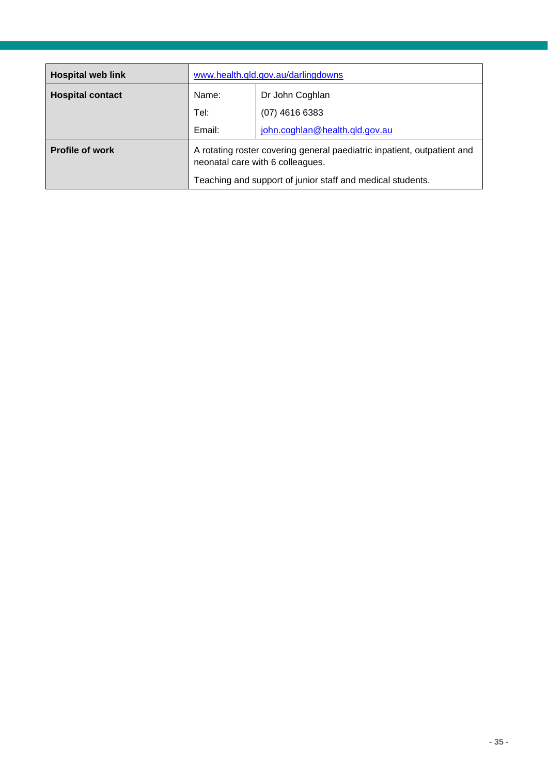| <b>Hospital web link</b> | www.health.qld.gov.au/darlingdowns                                                                          |                                |
|--------------------------|-------------------------------------------------------------------------------------------------------------|--------------------------------|
| <b>Hospital contact</b>  | Name:<br>Dr John Coghlan                                                                                    |                                |
|                          | Tel:                                                                                                        | $(07)$ 4616 6383               |
|                          | Email:                                                                                                      | john.coghlan@health.qld.gov.au |
| <b>Profile of work</b>   | A rotating roster covering general paediatric inpatient, outpatient and<br>neonatal care with 6 colleagues. |                                |
|                          | Teaching and support of junior staff and medical students.                                                  |                                |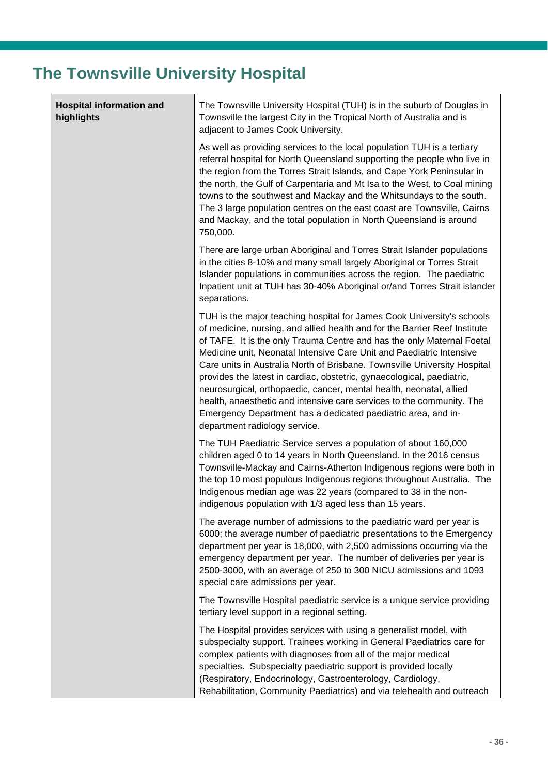## <span id="page-35-0"></span>**The Townsville University Hospital**

| <b>Hospital information and</b><br>highlights | The Townsville University Hospital (TUH) is in the suburb of Douglas in<br>Townsville the largest City in the Tropical North of Australia and is<br>adjacent to James Cook University.                                                                                                                                                                                                                                                                                                                                                                                                                                                                                                                          |  |
|-----------------------------------------------|-----------------------------------------------------------------------------------------------------------------------------------------------------------------------------------------------------------------------------------------------------------------------------------------------------------------------------------------------------------------------------------------------------------------------------------------------------------------------------------------------------------------------------------------------------------------------------------------------------------------------------------------------------------------------------------------------------------------|--|
|                                               | As well as providing services to the local population TUH is a tertiary<br>referral hospital for North Queensland supporting the people who live in<br>the region from the Torres Strait Islands, and Cape York Peninsular in<br>the north, the Gulf of Carpentaria and Mt Isa to the West, to Coal mining<br>towns to the southwest and Mackay and the Whitsundays to the south.<br>The 3 large population centres on the east coast are Townsville, Cairns<br>and Mackay, and the total population in North Queensland is around<br>750,000.                                                                                                                                                                  |  |
|                                               | There are large urban Aboriginal and Torres Strait Islander populations<br>in the cities 8-10% and many small largely Aboriginal or Torres Strait<br>Islander populations in communities across the region. The paediatric<br>Inpatient unit at TUH has 30-40% Aboriginal or/and Torres Strait islander<br>separations.                                                                                                                                                                                                                                                                                                                                                                                         |  |
|                                               | TUH is the major teaching hospital for James Cook University's schools<br>of medicine, nursing, and allied health and for the Barrier Reef Institute<br>of TAFE. It is the only Trauma Centre and has the only Maternal Foetal<br>Medicine unit, Neonatal Intensive Care Unit and Paediatric Intensive<br>Care units in Australia North of Brisbane. Townsville University Hospital<br>provides the latest in cardiac, obstetric, gynaecological, paediatric,<br>neurosurgical, orthopaedic, cancer, mental health, neonatal, allied<br>health, anaesthetic and intensive care services to the community. The<br>Emergency Department has a dedicated paediatric area, and in-<br>department radiology service. |  |
|                                               | The TUH Paediatric Service serves a population of about 160,000<br>children aged 0 to 14 years in North Queensland. In the 2016 census<br>Townsville-Mackay and Cairns-Atherton Indigenous regions were both in<br>the top 10 most populous Indigenous regions throughout Australia. The<br>Indigenous median age was 22 years (compared to 38 in the non-<br>indigenous population with 1/3 aged less than 15 years.                                                                                                                                                                                                                                                                                           |  |
|                                               | The average number of admissions to the paediatric ward per year is<br>6000; the average number of paediatric presentations to the Emergency<br>department per year is 18,000, with 2,500 admissions occurring via the<br>emergency department per year. The number of deliveries per year is<br>2500-3000, with an average of 250 to 300 NICU admissions and 1093<br>special care admissions per year.                                                                                                                                                                                                                                                                                                         |  |
|                                               | The Townsville Hospital paediatric service is a unique service providing<br>tertiary level support in a regional setting.                                                                                                                                                                                                                                                                                                                                                                                                                                                                                                                                                                                       |  |
|                                               | The Hospital provides services with using a generalist model, with<br>subspecialty support. Trainees working in General Paediatrics care for<br>complex patients with diagnoses from all of the major medical<br>specialties. Subspecialty paediatric support is provided locally<br>(Respiratory, Endocrinology, Gastroenterology, Cardiology,<br>Rehabilitation, Community Paediatrics) and via telehealth and outreach                                                                                                                                                                                                                                                                                       |  |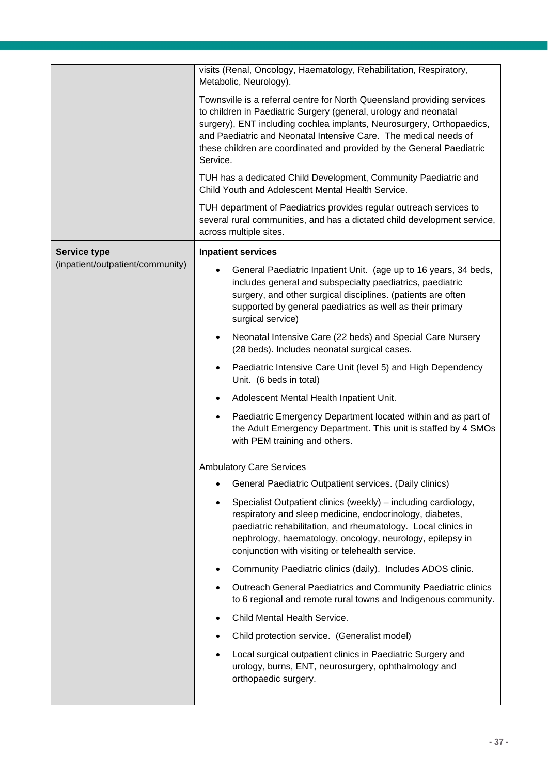| visits (Renal, Oncology, Haematology, Rehabilitation, Respiratory,                                                                                                                                                                                                                                                                                                            |  |  |  |
|-------------------------------------------------------------------------------------------------------------------------------------------------------------------------------------------------------------------------------------------------------------------------------------------------------------------------------------------------------------------------------|--|--|--|
| Metabolic, Neurology).                                                                                                                                                                                                                                                                                                                                                        |  |  |  |
| Townsville is a referral centre for North Queensland providing services<br>to children in Paediatric Surgery (general, urology and neonatal<br>surgery), ENT including cochlea implants, Neurosurgery, Orthopaedics,<br>and Paediatric and Neonatal Intensive Care. The medical needs of<br>these children are coordinated and provided by the General Paediatric<br>Service. |  |  |  |
| TUH has a dedicated Child Development, Community Paediatric and<br>Child Youth and Adolescent Mental Health Service.                                                                                                                                                                                                                                                          |  |  |  |
| TUH department of Paediatrics provides regular outreach services to<br>several rural communities, and has a dictated child development service,<br>across multiple sites.                                                                                                                                                                                                     |  |  |  |
| <b>Inpatient services</b>                                                                                                                                                                                                                                                                                                                                                     |  |  |  |
| General Paediatric Inpatient Unit. (age up to 16 years, 34 beds,<br>includes general and subspecialty paediatrics, paediatric<br>surgery, and other surgical disciplines. (patients are often<br>supported by general paediatrics as well as their primary<br>surgical service)                                                                                               |  |  |  |
| Neonatal Intensive Care (22 beds) and Special Care Nursery<br>$\bullet$<br>(28 beds). Includes neonatal surgical cases.                                                                                                                                                                                                                                                       |  |  |  |
| Paediatric Intensive Care Unit (level 5) and High Dependency<br>Unit. (6 beds in total)                                                                                                                                                                                                                                                                                       |  |  |  |
| Adolescent Mental Health Inpatient Unit.                                                                                                                                                                                                                                                                                                                                      |  |  |  |
| Paediatric Emergency Department located within and as part of<br>the Adult Emergency Department. This unit is staffed by 4 SMOs<br>with PEM training and others.                                                                                                                                                                                                              |  |  |  |
| <b>Ambulatory Care Services</b>                                                                                                                                                                                                                                                                                                                                               |  |  |  |
| General Paediatric Outpatient services. (Daily clinics)                                                                                                                                                                                                                                                                                                                       |  |  |  |
| Specialist Outpatient clinics (weekly) - including cardiology,<br>respiratory and sleep medicine, endocrinology, diabetes,<br>paediatric rehabilitation, and rheumatology. Local clinics in<br>nephrology, haematology, oncology, neurology, epilepsy in<br>conjunction with visiting or telehealth service.                                                                  |  |  |  |
| Community Paediatric clinics (daily). Includes ADOS clinic.                                                                                                                                                                                                                                                                                                                   |  |  |  |
| Outreach General Paediatrics and Community Paediatric clinics<br>to 6 regional and remote rural towns and Indigenous community.                                                                                                                                                                                                                                               |  |  |  |
| Child Mental Health Service.                                                                                                                                                                                                                                                                                                                                                  |  |  |  |
| Child protection service. (Generalist model)                                                                                                                                                                                                                                                                                                                                  |  |  |  |
| Local surgical outpatient clinics in Paediatric Surgery and<br>urology, burns, ENT, neurosurgery, ophthalmology and<br>orthopaedic surgery.                                                                                                                                                                                                                                   |  |  |  |
|                                                                                                                                                                                                                                                                                                                                                                               |  |  |  |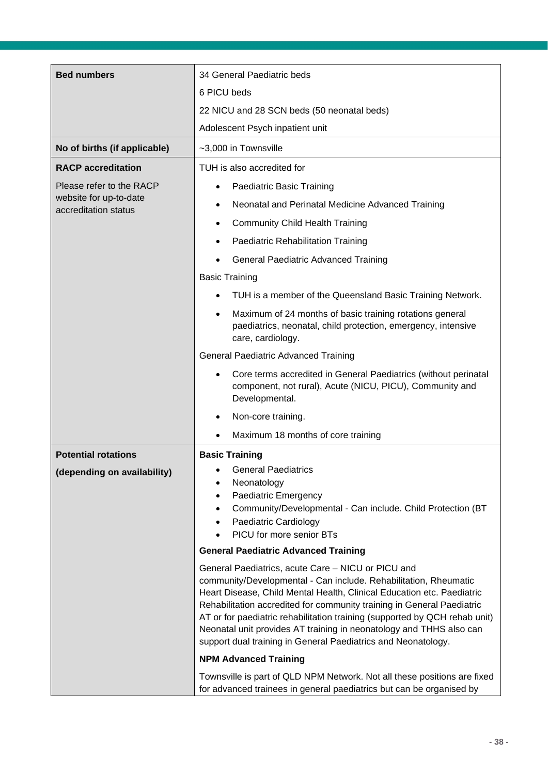| <b>Bed numbers</b>                                                         | 34 General Paediatric beds                                                                                                                                                                                                                                                                                                                                                                                                                 |  |  |
|----------------------------------------------------------------------------|--------------------------------------------------------------------------------------------------------------------------------------------------------------------------------------------------------------------------------------------------------------------------------------------------------------------------------------------------------------------------------------------------------------------------------------------|--|--|
|                                                                            | 6 PICU beds                                                                                                                                                                                                                                                                                                                                                                                                                                |  |  |
|                                                                            | 22 NICU and 28 SCN beds (50 neonatal beds)                                                                                                                                                                                                                                                                                                                                                                                                 |  |  |
|                                                                            | Adolescent Psych inpatient unit                                                                                                                                                                                                                                                                                                                                                                                                            |  |  |
| No of births (if applicable)                                               | ~3,000 in Townsville                                                                                                                                                                                                                                                                                                                                                                                                                       |  |  |
| <b>RACP</b> accreditation                                                  | TUH is also accredited for                                                                                                                                                                                                                                                                                                                                                                                                                 |  |  |
| Please refer to the RACP<br>website for up-to-date<br>accreditation status | Paediatric Basic Training                                                                                                                                                                                                                                                                                                                                                                                                                  |  |  |
|                                                                            | Neonatal and Perinatal Medicine Advanced Training                                                                                                                                                                                                                                                                                                                                                                                          |  |  |
|                                                                            | <b>Community Child Health Training</b>                                                                                                                                                                                                                                                                                                                                                                                                     |  |  |
|                                                                            | Paediatric Rehabilitation Training                                                                                                                                                                                                                                                                                                                                                                                                         |  |  |
|                                                                            | <b>General Paediatric Advanced Training</b>                                                                                                                                                                                                                                                                                                                                                                                                |  |  |
|                                                                            | <b>Basic Training</b>                                                                                                                                                                                                                                                                                                                                                                                                                      |  |  |
|                                                                            | TUH is a member of the Queensland Basic Training Network.                                                                                                                                                                                                                                                                                                                                                                                  |  |  |
|                                                                            | Maximum of 24 months of basic training rotations general<br>$\bullet$<br>paediatrics, neonatal, child protection, emergency, intensive<br>care, cardiology.                                                                                                                                                                                                                                                                                |  |  |
|                                                                            | <b>General Paediatric Advanced Training</b>                                                                                                                                                                                                                                                                                                                                                                                                |  |  |
|                                                                            | Core terms accredited in General Paediatrics (without perinatal<br>component, not rural), Acute (NICU, PICU), Community and<br>Developmental.                                                                                                                                                                                                                                                                                              |  |  |
|                                                                            | Non-core training.                                                                                                                                                                                                                                                                                                                                                                                                                         |  |  |
|                                                                            | Maximum 18 months of core training                                                                                                                                                                                                                                                                                                                                                                                                         |  |  |
| <b>Potential rotations</b>                                                 | <b>Basic Training</b>                                                                                                                                                                                                                                                                                                                                                                                                                      |  |  |
| (depending on availability)                                                | <b>General Paediatrics</b>                                                                                                                                                                                                                                                                                                                                                                                                                 |  |  |
|                                                                            | Neonatology<br>Paediatric Emergency                                                                                                                                                                                                                                                                                                                                                                                                        |  |  |
|                                                                            | Community/Developmental - Can include. Child Protection (BT                                                                                                                                                                                                                                                                                                                                                                                |  |  |
|                                                                            | Paediatric Cardiology<br>PICU for more senior BTs                                                                                                                                                                                                                                                                                                                                                                                          |  |  |
|                                                                            | <b>General Paediatric Advanced Training</b>                                                                                                                                                                                                                                                                                                                                                                                                |  |  |
|                                                                            | General Paediatrics, acute Care - NICU or PICU and                                                                                                                                                                                                                                                                                                                                                                                         |  |  |
|                                                                            | community/Developmental - Can include. Rehabilitation, Rheumatic<br>Heart Disease, Child Mental Health, Clinical Education etc. Paediatric<br>Rehabilitation accredited for community training in General Paediatric<br>AT or for paediatric rehabilitation training (supported by QCH rehab unit)<br>Neonatal unit provides AT training in neonatology and THHS also can<br>support dual training in General Paediatrics and Neonatology. |  |  |
|                                                                            | <b>NPM Advanced Training</b>                                                                                                                                                                                                                                                                                                                                                                                                               |  |  |
|                                                                            | Townsville is part of QLD NPM Network. Not all these positions are fixed<br>for advanced trainees in general paediatrics but can be organised by                                                                                                                                                                                                                                                                                           |  |  |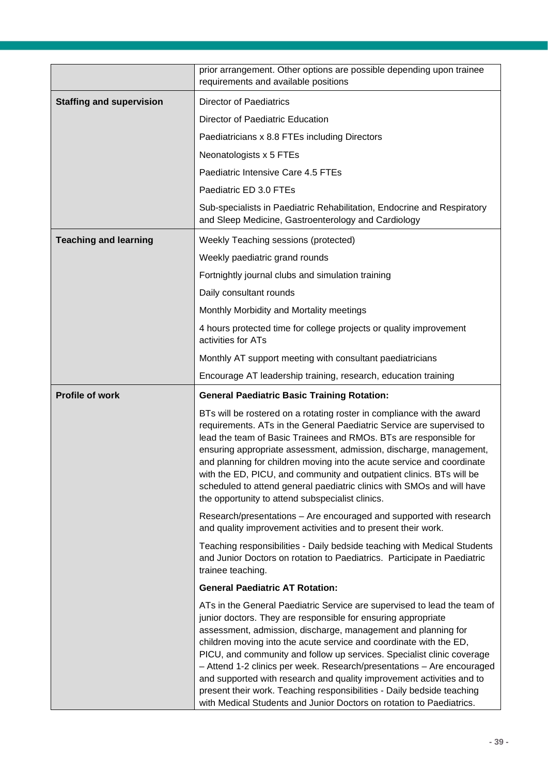|                                 | prior arrangement. Other options are possible depending upon trainee<br>requirements and available positions                                                                                                                                                                                                                                                                                                                                                                                                                                                                                                                                                    |  |  |
|---------------------------------|-----------------------------------------------------------------------------------------------------------------------------------------------------------------------------------------------------------------------------------------------------------------------------------------------------------------------------------------------------------------------------------------------------------------------------------------------------------------------------------------------------------------------------------------------------------------------------------------------------------------------------------------------------------------|--|--|
| <b>Staffing and supervision</b> | <b>Director of Paediatrics</b>                                                                                                                                                                                                                                                                                                                                                                                                                                                                                                                                                                                                                                  |  |  |
|                                 | Director of Paediatric Education                                                                                                                                                                                                                                                                                                                                                                                                                                                                                                                                                                                                                                |  |  |
|                                 | Paediatricians x 8.8 FTEs including Directors                                                                                                                                                                                                                                                                                                                                                                                                                                                                                                                                                                                                                   |  |  |
|                                 | Neonatologists x 5 FTEs                                                                                                                                                                                                                                                                                                                                                                                                                                                                                                                                                                                                                                         |  |  |
|                                 | Paediatric Intensive Care 4.5 FTEs                                                                                                                                                                                                                                                                                                                                                                                                                                                                                                                                                                                                                              |  |  |
|                                 | Paediatric ED 3.0 FTEs                                                                                                                                                                                                                                                                                                                                                                                                                                                                                                                                                                                                                                          |  |  |
|                                 | Sub-specialists in Paediatric Rehabilitation, Endocrine and Respiratory<br>and Sleep Medicine, Gastroenterology and Cardiology                                                                                                                                                                                                                                                                                                                                                                                                                                                                                                                                  |  |  |
| <b>Teaching and learning</b>    | Weekly Teaching sessions (protected)                                                                                                                                                                                                                                                                                                                                                                                                                                                                                                                                                                                                                            |  |  |
|                                 | Weekly paediatric grand rounds                                                                                                                                                                                                                                                                                                                                                                                                                                                                                                                                                                                                                                  |  |  |
|                                 | Fortnightly journal clubs and simulation training                                                                                                                                                                                                                                                                                                                                                                                                                                                                                                                                                                                                               |  |  |
|                                 | Daily consultant rounds                                                                                                                                                                                                                                                                                                                                                                                                                                                                                                                                                                                                                                         |  |  |
|                                 | Monthly Morbidity and Mortality meetings                                                                                                                                                                                                                                                                                                                                                                                                                                                                                                                                                                                                                        |  |  |
|                                 | 4 hours protected time for college projects or quality improvement<br>activities for ATs                                                                                                                                                                                                                                                                                                                                                                                                                                                                                                                                                                        |  |  |
|                                 | Monthly AT support meeting with consultant paediatricians                                                                                                                                                                                                                                                                                                                                                                                                                                                                                                                                                                                                       |  |  |
|                                 | Encourage AT leadership training, research, education training                                                                                                                                                                                                                                                                                                                                                                                                                                                                                                                                                                                                  |  |  |
| <b>Profile of work</b>          | <b>General Paediatric Basic Training Rotation:</b>                                                                                                                                                                                                                                                                                                                                                                                                                                                                                                                                                                                                              |  |  |
|                                 | BTs will be rostered on a rotating roster in compliance with the award<br>requirements. ATs in the General Paediatric Service are supervised to<br>lead the team of Basic Trainees and RMOs. BTs are responsible for<br>ensuring appropriate assessment, admission, discharge, management,<br>and planning for children moving into the acute service and coordinate<br>with the ED, PICU, and community and outpatient clinics. BTs will be<br>scheduled to attend general paediatric clinics with SMOs and will have<br>the opportunity to attend subspecialist clinics.                                                                                      |  |  |
|                                 | Research/presentations - Are encouraged and supported with research<br>and quality improvement activities and to present their work.                                                                                                                                                                                                                                                                                                                                                                                                                                                                                                                            |  |  |
|                                 | Teaching responsibilities - Daily bedside teaching with Medical Students<br>and Junior Doctors on rotation to Paediatrics. Participate in Paediatric<br>trainee teaching.                                                                                                                                                                                                                                                                                                                                                                                                                                                                                       |  |  |
|                                 | <b>General Paediatric AT Rotation:</b>                                                                                                                                                                                                                                                                                                                                                                                                                                                                                                                                                                                                                          |  |  |
|                                 | ATs in the General Paediatric Service are supervised to lead the team of<br>junior doctors. They are responsible for ensuring appropriate<br>assessment, admission, discharge, management and planning for<br>children moving into the acute service and coordinate with the ED,<br>PICU, and community and follow up services. Specialist clinic coverage<br>- Attend 1-2 clinics per week. Research/presentations - Are encouraged<br>and supported with research and quality improvement activities and to<br>present their work. Teaching responsibilities - Daily bedside teaching<br>with Medical Students and Junior Doctors on rotation to Paediatrics. |  |  |